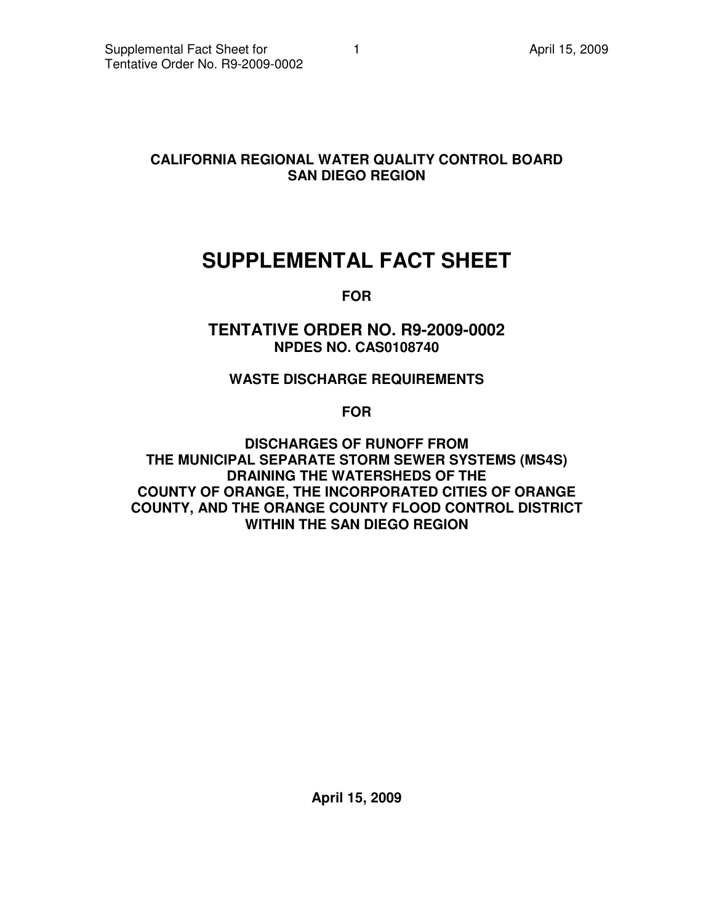# **CALIFORNIA REGIONAL WATER QUALITY CONTROL BOARD SAN DIEGO REGION**

# **SUPPLEMENTAL FACT SHEET**

**FOR** 

**TENTATIVE ORDER NO. R9-2009-0002 NPDES NO. CAS0108740** 

# **WASTE DISCHARGE REQUIREMENTS**

**FOR** 

**DISCHARGES OF RUNOFF FROM THE MUNICIPAL SEPARATE STORM SEWER SYSTEMS (MS4S) DRAINING THE WATERSHEDS OF THE COUNTY OF ORANGE, THE INCORPORATED CITIES OF ORANGE COUNTY, AND THE ORANGE COUNTY FLOOD CONTROL DISTRICT WITHIN THE SAN DIEGO REGION** 

**April 15, 2009**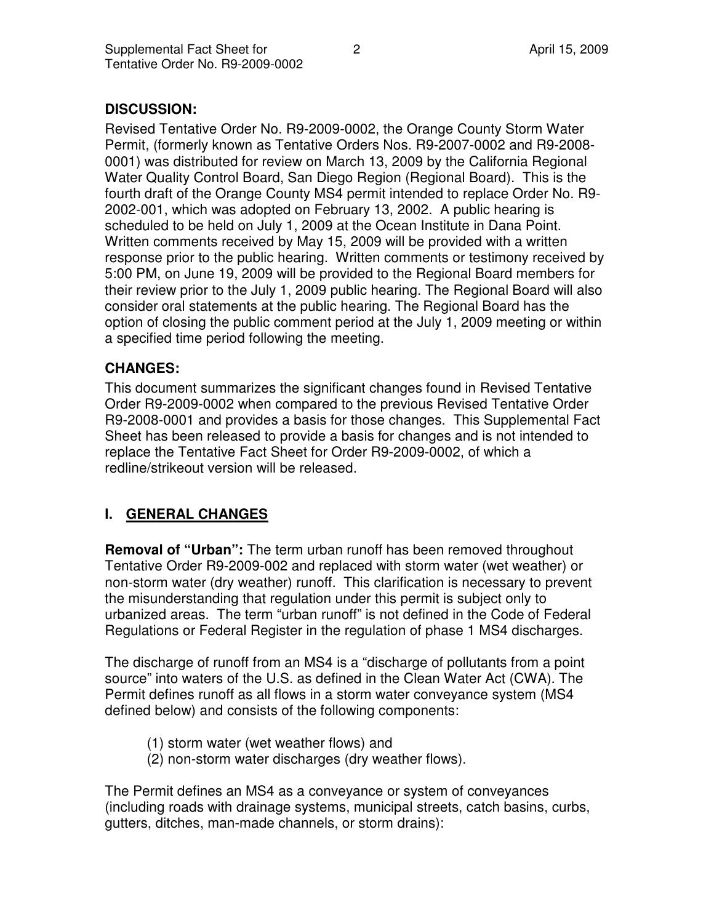## **DISCUSSION:**

Revised Tentative Order No. R9-2009-0002, the Orange County Storm Water Permit, (formerly known as Tentative Orders Nos. R9-2007-0002 and R9-2008- 0001) was distributed for review on March 13, 2009 by the California Regional Water Quality Control Board, San Diego Region (Regional Board). This is the fourth draft of the Orange County MS4 permit intended to replace Order No. R9- 2002-001, which was adopted on February 13, 2002. A public hearing is scheduled to be held on July 1, 2009 at the Ocean Institute in Dana Point. Written comments received by May 15, 2009 will be provided with a written response prior to the public hearing. Written comments or testimony received by 5:00 PM, on June 19, 2009 will be provided to the Regional Board members for their review prior to the July 1, 2009 public hearing. The Regional Board will also consider oral statements at the public hearing. The Regional Board has the option of closing the public comment period at the July 1, 2009 meeting or within a specified time period following the meeting.

#### **CHANGES:**

This document summarizes the significant changes found in Revised Tentative Order R9-2009-0002 when compared to the previous Revised Tentative Order R9-2008-0001 and provides a basis for those changes. This Supplemental Fact Sheet has been released to provide a basis for changes and is not intended to replace the Tentative Fact Sheet for Order R9-2009-0002, of which a redline/strikeout version will be released.

# **I. GENERAL CHANGES**

**Removal of "Urban":** The term urban runoff has been removed throughout Tentative Order R9-2009-002 and replaced with storm water (wet weather) or non-storm water (dry weather) runoff. This clarification is necessary to prevent the misunderstanding that regulation under this permit is subject only to urbanized areas. The term "urban runoff" is not defined in the Code of Federal Regulations or Federal Register in the regulation of phase 1 MS4 discharges.

The discharge of runoff from an MS4 is a "discharge of pollutants from a point source" into waters of the U.S. as defined in the Clean Water Act (CWA). The Permit defines runoff as all flows in a storm water conveyance system (MS4 defined below) and consists of the following components:

- (1) storm water (wet weather flows) and
- (2) non-storm water discharges (dry weather flows).

The Permit defines an MS4 as a conveyance or system of conveyances (including roads with drainage systems, municipal streets, catch basins, curbs, gutters, ditches, man-made channels, or storm drains):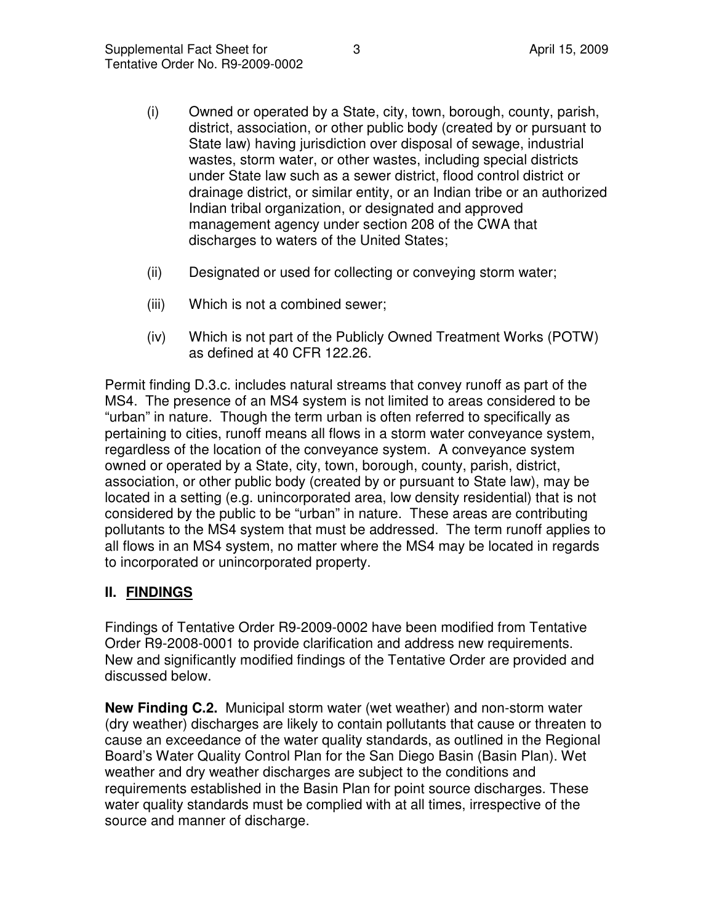- (i) Owned or operated by a State, city, town, borough, county, parish, district, association, or other public body (created by or pursuant to State law) having jurisdiction over disposal of sewage, industrial wastes, storm water, or other wastes, including special districts under State law such as a sewer district, flood control district or drainage district, or similar entity, or an Indian tribe or an authorized Indian tribal organization, or designated and approved management agency under section 208 of the CWA that discharges to waters of the United States;
- (ii) Designated or used for collecting or conveying storm water;
- (iii) Which is not a combined sewer;
- (iv) Which is not part of the Publicly Owned Treatment Works (POTW) as defined at 40 CFR 122.26.

Permit finding D.3.c. includes natural streams that convey runoff as part of the MS4. The presence of an MS4 system is not limited to areas considered to be "urban" in nature. Though the term urban is often referred to specifically as pertaining to cities, runoff means all flows in a storm water conveyance system, regardless of the location of the conveyance system. A conveyance system owned or operated by a State, city, town, borough, county, parish, district, association, or other public body (created by or pursuant to State law), may be located in a setting (e.g. unincorporated area, low density residential) that is not considered by the public to be "urban" in nature. These areas are contributing pollutants to the MS4 system that must be addressed. The term runoff applies to all flows in an MS4 system, no matter where the MS4 may be located in regards to incorporated or unincorporated property.

# **II. FINDINGS**

Findings of Tentative Order R9-2009-0002 have been modified from Tentative Order R9-2008-0001 to provide clarification and address new requirements. New and significantly modified findings of the Tentative Order are provided and discussed below.

**New Finding C.2.** Municipal storm water (wet weather) and non-storm water (dry weather) discharges are likely to contain pollutants that cause or threaten to cause an exceedance of the water quality standards, as outlined in the Regional Board's Water Quality Control Plan for the San Diego Basin (Basin Plan). Wet weather and dry weather discharges are subject to the conditions and requirements established in the Basin Plan for point source discharges. These water quality standards must be complied with at all times, irrespective of the source and manner of discharge.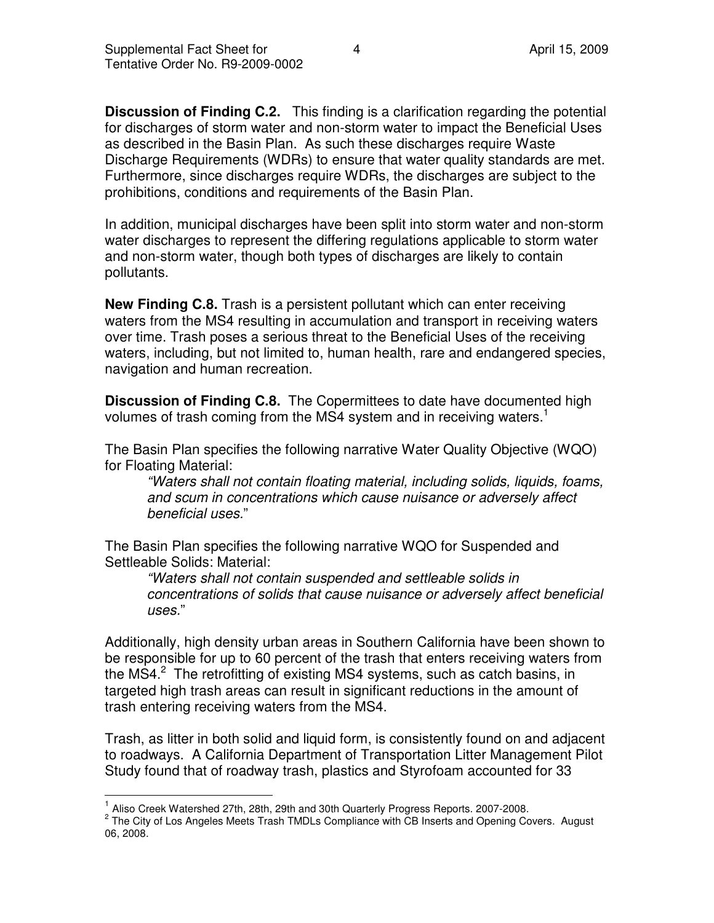**Discussion of Finding C.2.** This finding is a clarification regarding the potential for discharges of storm water and non-storm water to impact the Beneficial Uses as described in the Basin Plan. As such these discharges require Waste Discharge Requirements (WDRs) to ensure that water quality standards are met. Furthermore, since discharges require WDRs, the discharges are subject to the prohibitions, conditions and requirements of the Basin Plan.

In addition, municipal discharges have been split into storm water and non-storm water discharges to represent the differing regulations applicable to storm water and non-storm water, though both types of discharges are likely to contain pollutants.

**New Finding C.8.** Trash is a persistent pollutant which can enter receiving waters from the MS4 resulting in accumulation and transport in receiving waters over time. Trash poses a serious threat to the Beneficial Uses of the receiving waters, including, but not limited to, human health, rare and endangered species, navigation and human recreation.

**Discussion of Finding C.8.** The Copermittees to date have documented high volumes of trash coming from the MS4 system and in receiving waters.<sup>1</sup>

The Basin Plan specifies the following narrative Water Quality Objective (WQO) for Floating Material:

"Waters shall not contain floating material, including solids, liquids, foams, and scum in concentrations which cause nuisance or adversely affect beneficial uses."

The Basin Plan specifies the following narrative WQO for Suspended and Settleable Solids: Material:

"Waters shall not contain suspended and settleable solids in concentrations of solids that cause nuisance or adversely affect beneficial uses."

Additionally, high density urban areas in Southern California have been shown to be responsible for up to 60 percent of the trash that enters receiving waters from the MS4.<sup>2</sup> The retrofitting of existing MS4 systems, such as catch basins, in targeted high trash areas can result in significant reductions in the amount of trash entering receiving waters from the MS4.

Trash, as litter in both solid and liquid form, is consistently found on and adjacent to roadways. A California Department of Transportation Litter Management Pilot Study found that of roadway trash, plastics and Styrofoam accounted for 33

 $\overline{\phantom{a}}$ <sup>1</sup> Aliso Creek Watershed 27th, 28th, 29th and 30th Quarterly Progress Reports. 2007-2008.

<sup>&</sup>lt;sup>2</sup> The City of Los Angeles Meets Trash TMDLs Compliance with CB Inserts and Opening Covers. August 06, 2008.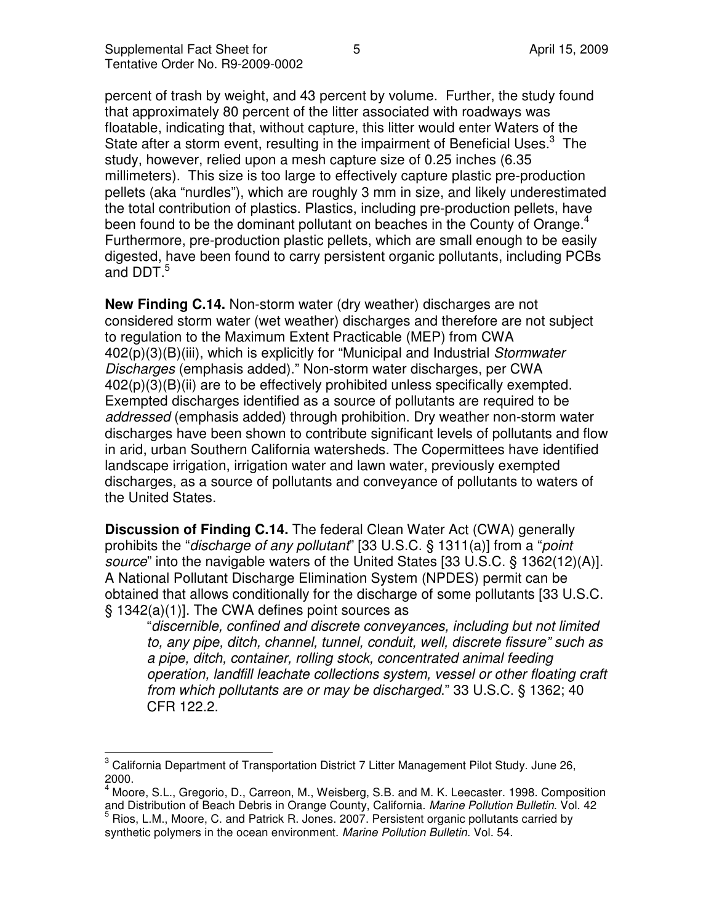percent of trash by weight, and 43 percent by volume. Further, the study found that approximately 80 percent of the litter associated with roadways was floatable, indicating that, without capture, this litter would enter Waters of the State after a storm event, resulting in the impairment of Beneficial Uses. $3$  The study, however, relied upon a mesh capture size of 0.25 inches (6.35 millimeters). This size is too large to effectively capture plastic pre-production pellets (aka "nurdles"), which are roughly 3 mm in size, and likely underestimated the total contribution of plastics. Plastics, including pre-production pellets, have been found to be the dominant pollutant on beaches in the County of Orange.<sup>4</sup> Furthermore, pre-production plastic pellets, which are small enough to be easily digested, have been found to carry persistent organic pollutants, including PCBs and DDT.<sup>5</sup>

**New Finding C.14.** Non-storm water (dry weather) discharges are not considered storm water (wet weather) discharges and therefore are not subject to regulation to the Maximum Extent Practicable (MEP) from CWA 402(p)(3)(B)(iii), which is explicitly for "Municipal and Industrial Stormwater Discharges (emphasis added)." Non-storm water discharges, per CWA 402(p)(3)(B)(ii) are to be effectively prohibited unless specifically exempted. Exempted discharges identified as a source of pollutants are required to be addressed (emphasis added) through prohibition. Dry weather non-storm water discharges have been shown to contribute significant levels of pollutants and flow in arid, urban Southern California watersheds. The Copermittees have identified landscape irrigation, irrigation water and lawn water, previously exempted discharges, as a source of pollutants and conveyance of pollutants to waters of the United States.

**Discussion of Finding C.14.** The federal Clean Water Act (CWA) generally prohibits the "*discharge of any pollutant*" [33 U.S.C. § 1311(a)] from a "*point* source" into the navigable waters of the United States [33 U.S.C. § 1362(12)(A)]. A National Pollutant Discharge Elimination System (NPDES) permit can be obtained that allows conditionally for the discharge of some pollutants [33 U.S.C. § 1342(a)(1)]. The CWA defines point sources as

"discernible, confined and discrete conveyances, including but not limited to, any pipe, ditch, channel, tunnel, conduit, well, discrete fissure" such as a pipe, ditch, container, rolling stock, concentrated animal feeding operation, landfill leachate collections system, vessel or other floating craft from which pollutants are or may be discharged." 33 U.S.C. § 1362; 40 CFR 122.2.

 3 California Department of Transportation District 7 Litter Management Pilot Study. June 26, 2000.

<sup>4</sup> Moore, S.L., Gregorio, D., Carreon, M., Weisberg, S.B. and M. K. Leecaster. 1998. Composition and Distribution of Beach Debris in Orange County, California. Marine Pollution Bulletin. Vol. 42 5

Rios, L.M., Moore, C. and Patrick R. Jones. 2007. Persistent organic pollutants carried by synthetic polymers in the ocean environment. Marine Pollution Bulletin. Vol. 54.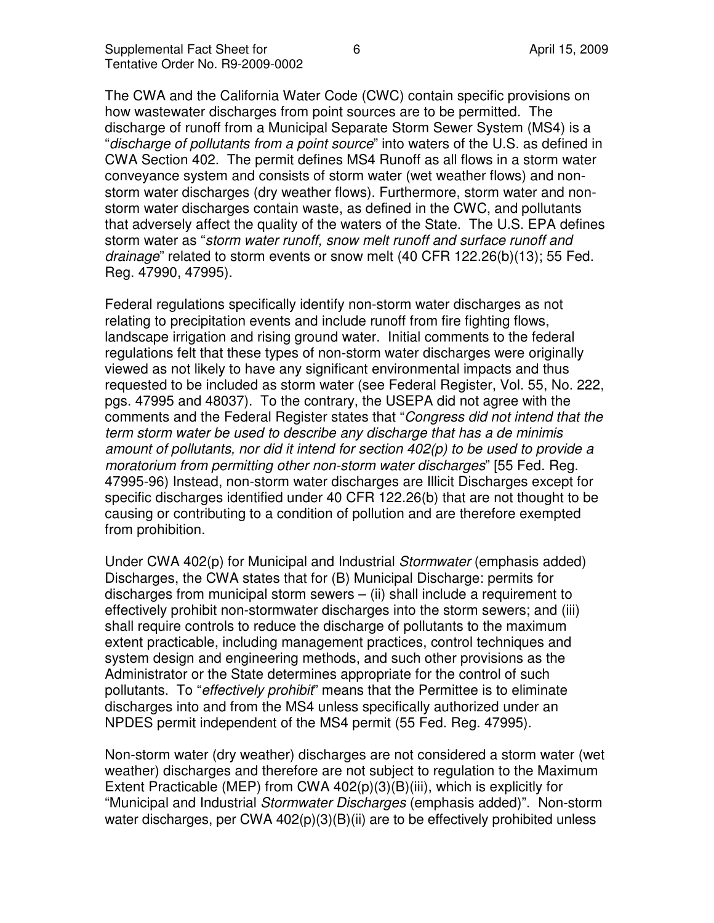The CWA and the California Water Code (CWC) contain specific provisions on how wastewater discharges from point sources are to be permitted. The discharge of runoff from a Municipal Separate Storm Sewer System (MS4) is a "discharge of pollutants from a point source" into waters of the U.S. as defined in CWA Section 402. The permit defines MS4 Runoff as all flows in a storm water conveyance system and consists of storm water (wet weather flows) and nonstorm water discharges (dry weather flows). Furthermore, storm water and nonstorm water discharges contain waste, as defined in the CWC, and pollutants that adversely affect the quality of the waters of the State. The U.S. EPA defines storm water as "storm water runoff, snow melt runoff and surface runoff and drainage" related to storm events or snow melt (40 CFR 122.26(b)(13); 55 Fed. Reg. 47990, 47995).

Federal regulations specifically identify non-storm water discharges as not relating to precipitation events and include runoff from fire fighting flows, landscape irrigation and rising ground water. Initial comments to the federal regulations felt that these types of non-storm water discharges were originally viewed as not likely to have any significant environmental impacts and thus requested to be included as storm water (see Federal Register, Vol. 55, No. 222, pgs. 47995 and 48037). To the contrary, the USEPA did not agree with the comments and the Federal Register states that "Congress did not intend that the term storm water be used to describe any discharge that has a de minimis amount of pollutants, nor did it intend for section 402(p) to be used to provide a moratorium from permitting other non-storm water discharges" [55 Fed. Reg. 47995-96) Instead, non-storm water discharges are Illicit Discharges except for specific discharges identified under 40 CFR 122.26(b) that are not thought to be causing or contributing to a condition of pollution and are therefore exempted from prohibition.

Under CWA 402(p) for Municipal and Industrial Stormwater (emphasis added) Discharges, the CWA states that for (B) Municipal Discharge: permits for discharges from municipal storm sewers  $-$  (ii) shall include a requirement to effectively prohibit non-stormwater discharges into the storm sewers; and (iii) shall require controls to reduce the discharge of pollutants to the maximum extent practicable, including management practices, control techniques and system design and engineering methods, and such other provisions as the Administrator or the State determines appropriate for the control of such pollutants. To "*effectively prohibit*" means that the Permittee is to eliminate discharges into and from the MS4 unless specifically authorized under an NPDES permit independent of the MS4 permit (55 Fed. Reg. 47995).

Non-storm water (dry weather) discharges are not considered a storm water (wet weather) discharges and therefore are not subject to regulation to the Maximum Extent Practicable (MEP) from CWA  $402(p)(3)(B)(iii)$ , which is explicitly for "Municipal and Industrial Stormwater Discharges (emphasis added)". Non-storm water discharges, per CWA 402(p)(3)(B)(ii) are to be effectively prohibited unless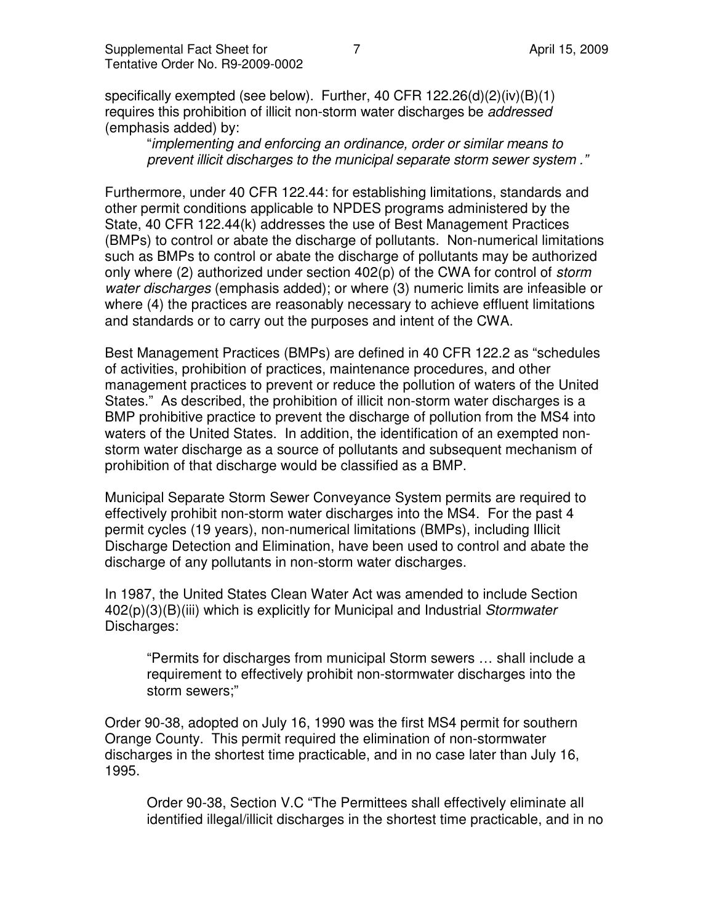specifically exempted (see below). Further, 40 CFR 122.26(d)(2)(iv)(B)(1) requires this prohibition of illicit non-storm water discharges be *addressed* (emphasis added) by:

"implementing and enforcing an ordinance, order or similar means to prevent illicit discharges to the municipal separate storm sewer system ."

Furthermore, under 40 CFR 122.44: for establishing limitations, standards and other permit conditions applicable to NPDES programs administered by the State, 40 CFR 122.44(k) addresses the use of Best Management Practices (BMPs) to control or abate the discharge of pollutants. Non-numerical limitations such as BMPs to control or abate the discharge of pollutants may be authorized only where (2) authorized under section  $402(p)$  of the CWA for control of *storm* water discharges (emphasis added); or where (3) numeric limits are infeasible or where (4) the practices are reasonably necessary to achieve effluent limitations and standards or to carry out the purposes and intent of the CWA.

Best Management Practices (BMPs) are defined in 40 CFR 122.2 as "schedules of activities, prohibition of practices, maintenance procedures, and other management practices to prevent or reduce the pollution of waters of the United States." As described, the prohibition of illicit non-storm water discharges is a BMP prohibitive practice to prevent the discharge of pollution from the MS4 into waters of the United States. In addition, the identification of an exempted nonstorm water discharge as a source of pollutants and subsequent mechanism of prohibition of that discharge would be classified as a BMP.

Municipal Separate Storm Sewer Conveyance System permits are required to effectively prohibit non-storm water discharges into the MS4. For the past 4 permit cycles (19 years), non-numerical limitations (BMPs), including Illicit Discharge Detection and Elimination, have been used to control and abate the discharge of any pollutants in non-storm water discharges.

In 1987, the United States Clean Water Act was amended to include Section 402(p)(3)(B)(iii) which is explicitly for Municipal and Industrial Stormwater Discharges:

"Permits for discharges from municipal Storm sewers … shall include a requirement to effectively prohibit non-stormwater discharges into the storm sewers;"

Order 90-38, adopted on July 16, 1990 was the first MS4 permit for southern Orange County. This permit required the elimination of non-stormwater discharges in the shortest time practicable, and in no case later than July 16, 1995.

Order 90-38, Section V.C "The Permittees shall effectively eliminate all identified illegal/illicit discharges in the shortest time practicable, and in no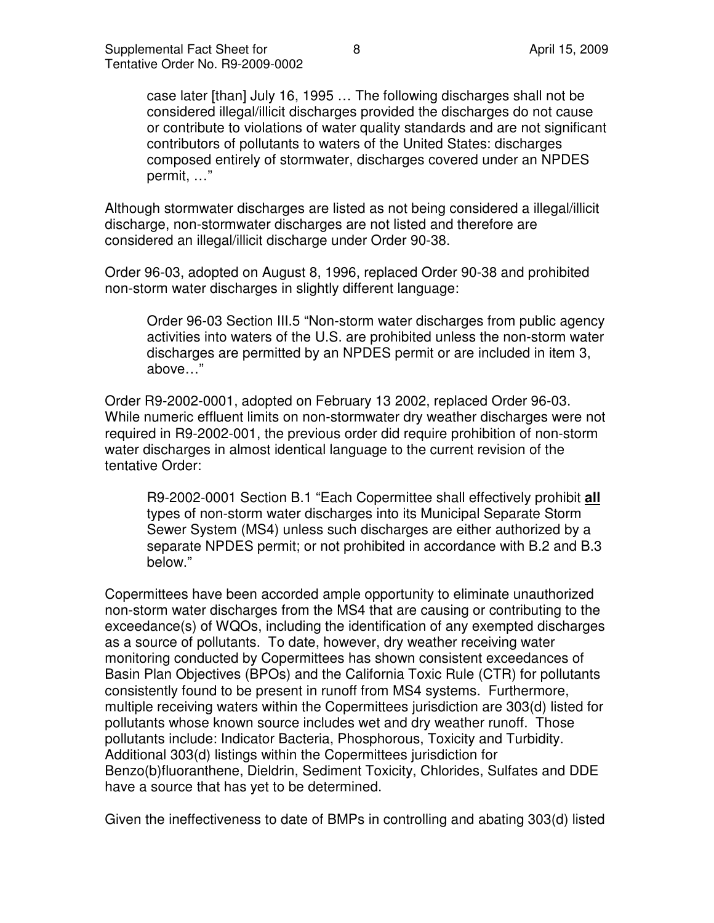case later [than] July 16, 1995 … The following discharges shall not be considered illegal/illicit discharges provided the discharges do not cause or contribute to violations of water quality standards and are not significant contributors of pollutants to waters of the United States: discharges composed entirely of stormwater, discharges covered under an NPDES permit, …"

Although stormwater discharges are listed as not being considered a illegal/illicit discharge, non-stormwater discharges are not listed and therefore are considered an illegal/illicit discharge under Order 90-38.

Order 96-03, adopted on August 8, 1996, replaced Order 90-38 and prohibited non-storm water discharges in slightly different language:

Order 96-03 Section III.5 "Non-storm water discharges from public agency activities into waters of the U.S. are prohibited unless the non-storm water discharges are permitted by an NPDES permit or are included in item 3, above…"

Order R9-2002-0001, adopted on February 13 2002, replaced Order 96-03. While numeric effluent limits on non-stormwater dry weather discharges were not required in R9-2002-001, the previous order did require prohibition of non-storm water discharges in almost identical language to the current revision of the tentative Order:

R9-2002-0001 Section B.1 "Each Copermittee shall effectively prohibit **all**  types of non-storm water discharges into its Municipal Separate Storm Sewer System (MS4) unless such discharges are either authorized by a separate NPDES permit; or not prohibited in accordance with B.2 and B.3 below."

Copermittees have been accorded ample opportunity to eliminate unauthorized non-storm water discharges from the MS4 that are causing or contributing to the exceedance(s) of WQOs, including the identification of any exempted discharges as a source of pollutants. To date, however, dry weather receiving water monitoring conducted by Copermittees has shown consistent exceedances of Basin Plan Objectives (BPOs) and the California Toxic Rule (CTR) for pollutants consistently found to be present in runoff from MS4 systems. Furthermore, multiple receiving waters within the Copermittees jurisdiction are 303(d) listed for pollutants whose known source includes wet and dry weather runoff. Those pollutants include: Indicator Bacteria, Phosphorous, Toxicity and Turbidity. Additional 303(d) listings within the Copermittees jurisdiction for Benzo(b)fluoranthene, Dieldrin, Sediment Toxicity, Chlorides, Sulfates and DDE have a source that has yet to be determined.

Given the ineffectiveness to date of BMPs in controlling and abating 303(d) listed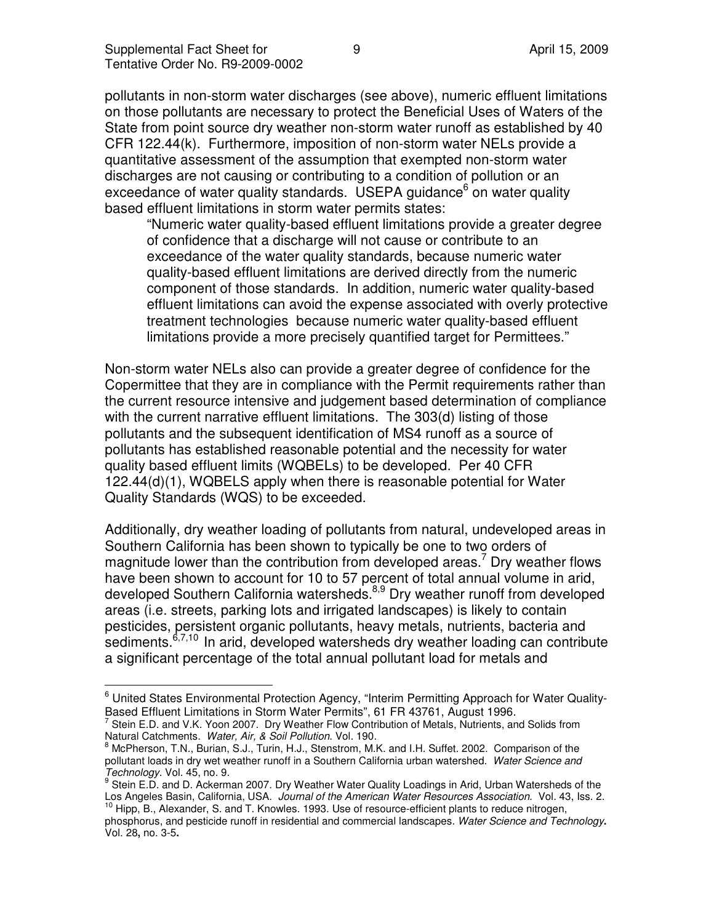$\overline{\phantom{a}}$ 

pollutants in non-storm water discharges (see above), numeric effluent limitations on those pollutants are necessary to protect the Beneficial Uses of Waters of the State from point source dry weather non-storm water runoff as established by 40 CFR 122.44(k). Furthermore, imposition of non-storm water NELs provide a quantitative assessment of the assumption that exempted non-storm water discharges are not causing or contributing to a condition of pollution or an exceedance of water quality standards. USEPA guidance<sup>6</sup> on water quality based effluent limitations in storm water permits states:

"Numeric water quality-based effluent limitations provide a greater degree of confidence that a discharge will not cause or contribute to an exceedance of the water quality standards, because numeric water quality-based effluent limitations are derived directly from the numeric component of those standards. In addition, numeric water quality-based effluent limitations can avoid the expense associated with overly protective treatment technologies because numeric water quality-based effluent limitations provide a more precisely quantified target for Permittees."

Non-storm water NELs also can provide a greater degree of confidence for the Copermittee that they are in compliance with the Permit requirements rather than the current resource intensive and judgement based determination of compliance with the current narrative effluent limitations. The 303(d) listing of those pollutants and the subsequent identification of MS4 runoff as a source of pollutants has established reasonable potential and the necessity for water quality based effluent limits (WQBELs) to be developed. Per 40 CFR 122.44(d)(1), WQBELS apply when there is reasonable potential for Water Quality Standards (WQS) to be exceeded.

Additionally, dry weather loading of pollutants from natural, undeveloped areas in Southern California has been shown to typically be one to two orders of magnitude lower than the contribution from developed areas.<sup>7</sup> Dry weather flows have been shown to account for 10 to 57 percent of total annual volume in arid, developed Southern California watersheds.<sup>8,9</sup> Dry weather runoff from developed areas (i.e. streets, parking lots and irrigated landscapes) is likely to contain pesticides, persistent organic pollutants, heavy metals, nutrients, bacteria and sediments.<sup>6,7,10</sup> In arid, developed watersheds dry weather loading can contribute a significant percentage of the total annual pollutant load for metals and

<sup>&</sup>lt;sup>6</sup> United States Environmental Protection Agency, "Interim Permitting Approach for Water Quality-Based Effluent Limitations in Storm Water Permits", 61 FR 43761, August 1996.

 $^7$  Stein E.D. and V.K. Yoon 2007. Dry Weather Flow Contribution of Metals, Nutrients, and Solids from Natural Catchments. Water, Air, & Soil Pollution. Vol. 190.

<sup>&</sup>lt;sup>8</sup> McPherson, T.N., Burian, S.J., Turin, H.J., Stenstrom, M.K. and I.H. Suffet. 2002. Comparison of the pollutant loads in dry wet weather runoff in a Southern California urban watershed. Water Science and Technology. Vol. 45, no. 9.

<sup>&</sup>lt;sup>9</sup> Stein E.D. and D. Ackerman 2007. Dry Weather Water Quality Loadings in Arid, Urban Watersheds of the Los Angeles Basin, California, USA. Journal of the American Water Resources Association. Vol. 43, Iss. 2.

<sup>&</sup>lt;sup>10</sup> Hipp, B., Alexander, S. and T. Knowles. 1993. Use of resource-efficient plants to reduce nitrogen, phosphorus, and pesticide runoff in residential and commercial landscapes. Water Science and Technology**.**  Vol. 28**,** no. 3-5**.**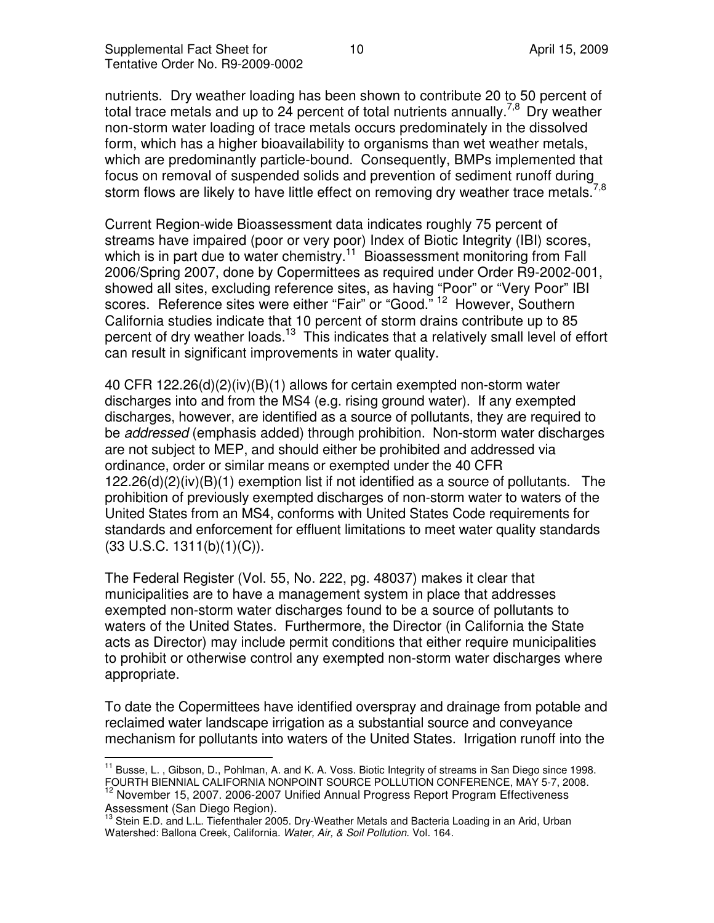nutrients. Dry weather loading has been shown to contribute 20 to 50 percent of total trace metals and up to 24 percent of total nutrients annually.<sup>7,8</sup> Dry weather non-storm water loading of trace metals occurs predominately in the dissolved form, which has a higher bioavailability to organisms than wet weather metals, which are predominantly particle-bound. Consequently, BMPs implemented that focus on removal of suspended solids and prevention of sediment runoff during storm flows are likely to have little effect on removing dry weather trace metals.<sup>7</sup>

Current Region-wide Bioassessment data indicates roughly 75 percent of streams have impaired (poor or very poor) Index of Biotic Integrity (IBI) scores, which is in part due to water chemistry.<sup>11</sup> Bioassessment monitoring from Fall 2006/Spring 2007, done by Copermittees as required under Order R9-2002-001, showed all sites, excluding reference sites, as having "Poor" or "Very Poor" IBI scores. Reference sites were either "Fair" or "Good."<sup>12</sup> However, Southern California studies indicate that 10 percent of storm drains contribute up to 85 percent of dry weather loads.<sup>13</sup> This indicates that a relatively small level of effort can result in significant improvements in water quality.

40 CFR 122.26(d)(2)(iv)(B)(1) allows for certain exempted non-storm water discharges into and from the MS4 (e.g. rising ground water). If any exempted discharges, however, are identified as a source of pollutants, they are required to be *addressed* (emphasis added) through prohibition. Non-storm water discharges are not subject to MEP, and should either be prohibited and addressed via ordinance, order or similar means or exempted under the 40 CFR 122.26(d)(2)(iv)(B)(1) exemption list if not identified as a source of pollutants. The prohibition of previously exempted discharges of non-storm water to waters of the United States from an MS4, conforms with United States Code requirements for standards and enforcement for effluent limitations to meet water quality standards  $(33 \text{ U.S.C. } 1311(b)(1)(C)).$ 

The Federal Register (Vol. 55, No. 222, pg. 48037) makes it clear that municipalities are to have a management system in place that addresses exempted non-storm water discharges found to be a source of pollutants to waters of the United States. Furthermore, the Director (in California the State acts as Director) may include permit conditions that either require municipalities to prohibit or otherwise control any exempted non-storm water discharges where appropriate.

To date the Copermittees have identified overspray and drainage from potable and reclaimed water landscape irrigation as a substantial source and conveyance mechanism for pollutants into waters of the United States. Irrigation runoff into the

 $\overline{\phantom{a}}$ <sup>11</sup> Busse, L., Gibson, D., Pohlman, A. and K. A. Voss. Biotic Integrity of streams in San Diego since 1998. FOURTH BIENNIAL CALIFORNIA NONPOINT SOURCE POLLUTION CONFERENCE, MAY 5-7, 2008.

<sup>12</sup> November 15, 2007. 2006-2007 Unified Annual Progress Report Program Effectiveness Assessment (San Diego Region).

<sup>&</sup>lt;sup>13</sup> Stein E.D. and L.L. Tiefenthaler 2005. Dry-Weather Metals and Bacteria Loading in an Arid, Urban Watershed: Ballona Creek, California. Water, Air, & Soil Pollution. Vol. 164.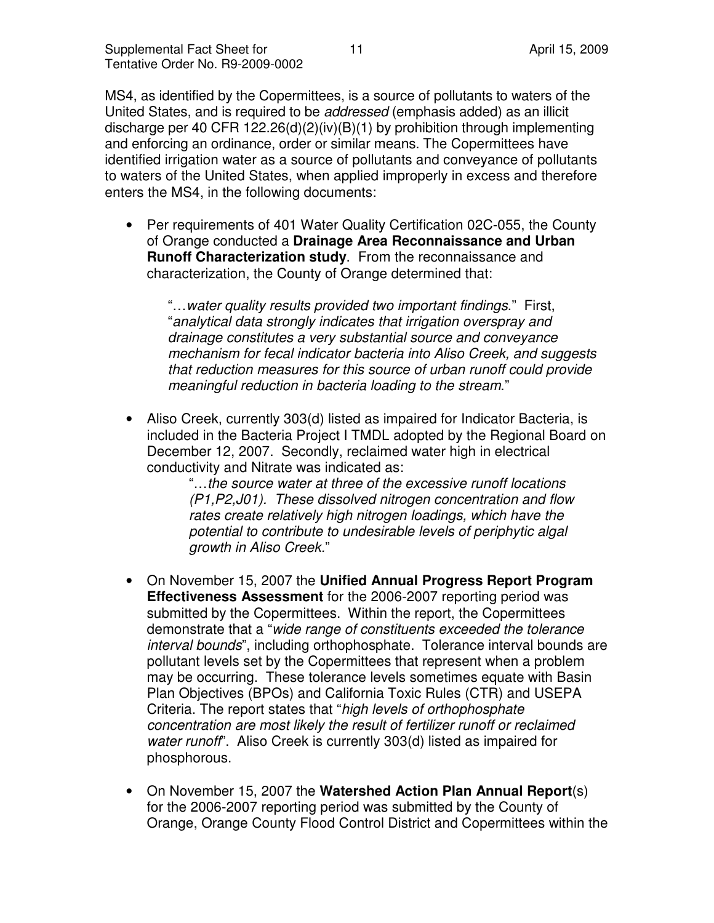MS4, as identified by the Copermittees, is a source of pollutants to waters of the United States, and is required to be addressed (emphasis added) as an illicit discharge per 40 CFR 122.26(d)(2)(iv)(B)(1) by prohibition through implementing and enforcing an ordinance, order or similar means. The Copermittees have identified irrigation water as a source of pollutants and conveyance of pollutants to waters of the United States, when applied improperly in excess and therefore enters the MS4, in the following documents:

• Per requirements of 401 Water Quality Certification 02C-055, the County of Orange conducted a **Drainage Area Reconnaissance and Urban Runoff Characterization study**. From the reconnaissance and characterization, the County of Orange determined that:

"…water quality results provided two important findings." First, "analytical data strongly indicates that irrigation overspray and drainage constitutes a very substantial source and conveyance mechanism for fecal indicator bacteria into Aliso Creek, and suggests that reduction measures for this source of urban runoff could provide meaningful reduction in bacteria loading to the stream."

• Aliso Creek, currently 303(d) listed as impaired for Indicator Bacteria, is included in the Bacteria Project I TMDL adopted by the Regional Board on December 12, 2007. Secondly, reclaimed water high in electrical conductivity and Nitrate was indicated as:

> "…the source water at three of the excessive runoff locations (P1,P2,J01). These dissolved nitrogen concentration and flow rates create relatively high nitrogen loadings, which have the potential to contribute to undesirable levels of periphytic algal growth in Aliso Creek."

- On November 15, 2007 the **Unified Annual Progress Report Program Effectiveness Assessment** for the 2006-2007 reporting period was submitted by the Copermittees. Within the report, the Copermittees demonstrate that a "wide range of constituents exceeded the tolerance interval bounds", including orthophosphate. Tolerance interval bounds are pollutant levels set by the Copermittees that represent when a problem may be occurring. These tolerance levels sometimes equate with Basin Plan Objectives (BPOs) and California Toxic Rules (CTR) and USEPA Criteria. The report states that "high levels of orthophosphate concentration are most likely the result of fertilizer runoff or reclaimed water runoff". Aliso Creek is currently 303(d) listed as impaired for phosphorous.
- On November 15, 2007 the **Watershed Action Plan Annual Report**(s) for the 2006-2007 reporting period was submitted by the County of Orange, Orange County Flood Control District and Copermittees within the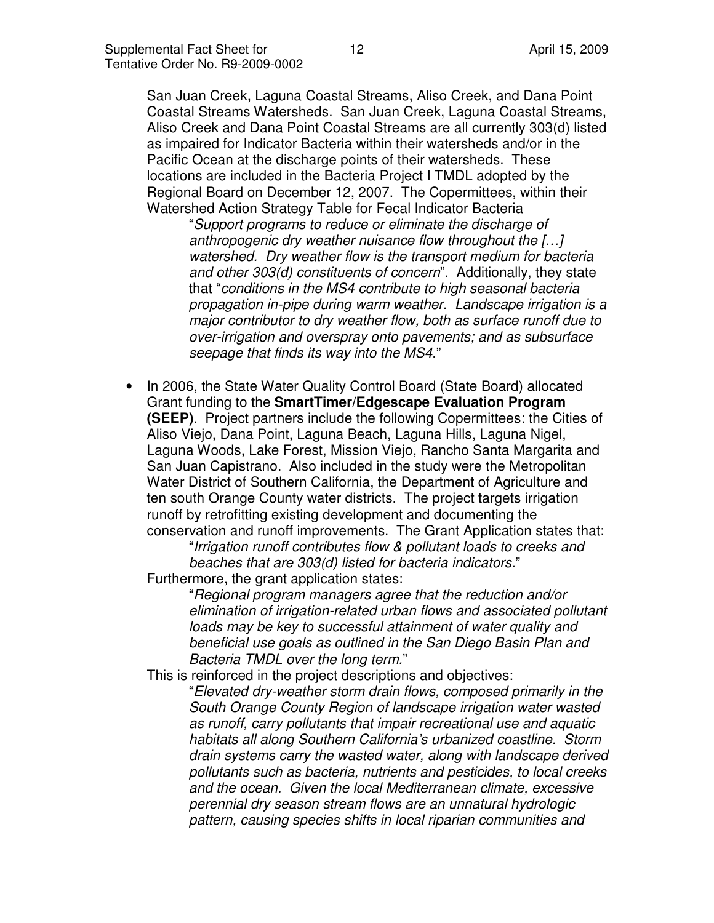San Juan Creek, Laguna Coastal Streams, Aliso Creek, and Dana Point Coastal Streams Watersheds. San Juan Creek, Laguna Coastal Streams, Aliso Creek and Dana Point Coastal Streams are all currently 303(d) listed as impaired for Indicator Bacteria within their watersheds and/or in the Pacific Ocean at the discharge points of their watersheds. These locations are included in the Bacteria Project I TMDL adopted by the Regional Board on December 12, 2007. The Copermittees, within their Watershed Action Strategy Table for Fecal Indicator Bacteria

"Support programs to reduce or eliminate the discharge of anthropogenic dry weather nuisance flow throughout the […] watershed. Dry weather flow is the transport medium for bacteria and other 303(d) constituents of concern". Additionally, they state that "conditions in the MS4 contribute to high seasonal bacteria propagation in-pipe during warm weather. Landscape irrigation is a major contributor to dry weather flow, both as surface runoff due to over-irrigation and overspray onto pavements; and as subsurface seepage that finds its way into the MS4."

• In 2006, the State Water Quality Control Board (State Board) allocated Grant funding to the **SmartTimer/Edgescape Evaluation Program (SEEP)**. Project partners include the following Copermittees: the Cities of Aliso Viejo, Dana Point, Laguna Beach, Laguna Hills, Laguna Nigel, Laguna Woods, Lake Forest, Mission Viejo, Rancho Santa Margarita and San Juan Capistrano. Also included in the study were the Metropolitan Water District of Southern California, the Department of Agriculture and ten south Orange County water districts. The project targets irrigation runoff by retrofitting existing development and documenting the conservation and runoff improvements. The Grant Application states that:

"Irrigation runoff contributes flow & pollutant loads to creeks and beaches that are 303(d) listed for bacteria indicators."

Furthermore, the grant application states:

"Regional program managers agree that the reduction and/or elimination of irrigation-related urban flows and associated pollutant loads may be key to successful attainment of water quality and beneficial use goals as outlined in the San Diego Basin Plan and Bacteria TMDL over the long term."

This is reinforced in the project descriptions and objectives:

"Elevated dry-weather storm drain flows, composed primarily in the South Orange County Region of landscape irrigation water wasted as runoff, carry pollutants that impair recreational use and aquatic habitats all along Southern California's urbanized coastline. Storm drain systems carry the wasted water, along with landscape derived pollutants such as bacteria, nutrients and pesticides, to local creeks and the ocean. Given the local Mediterranean climate, excessive perennial dry season stream flows are an unnatural hydrologic pattern, causing species shifts in local riparian communities and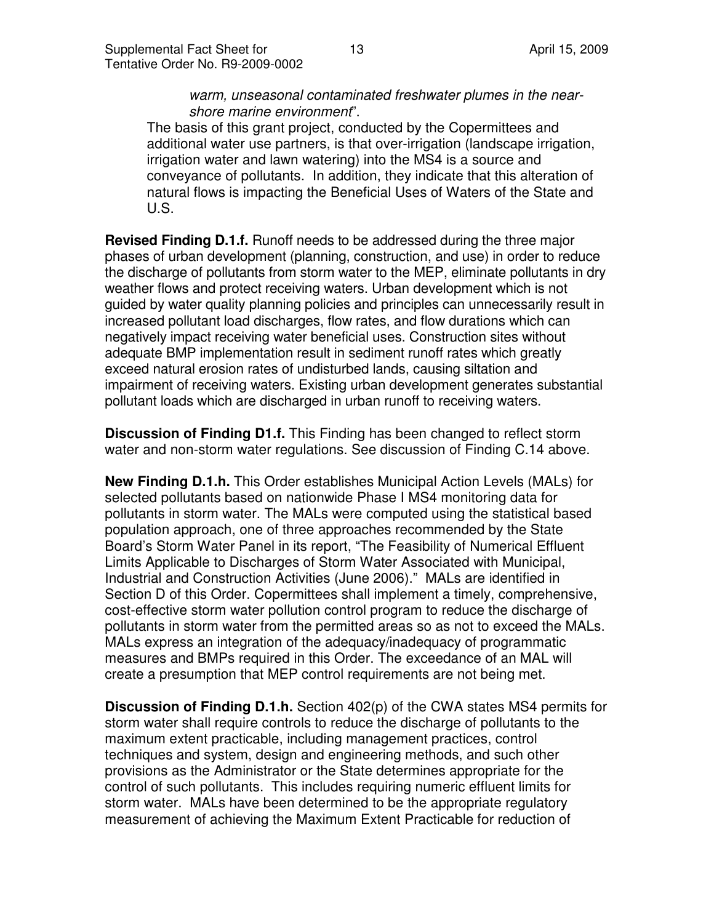warm, unseasonal contaminated freshwater plumes in the nearshore marine environment".

The basis of this grant project, conducted by the Copermittees and additional water use partners, is that over-irrigation (landscape irrigation, irrigation water and lawn watering) into the MS4 is a source and conveyance of pollutants. In addition, they indicate that this alteration of natural flows is impacting the Beneficial Uses of Waters of the State and U.S.

**Revised Finding D.1.f.** Runoff needs to be addressed during the three major phases of urban development (planning, construction, and use) in order to reduce the discharge of pollutants from storm water to the MEP, eliminate pollutants in dry weather flows and protect receiving waters. Urban development which is not guided by water quality planning policies and principles can unnecessarily result in increased pollutant load discharges, flow rates, and flow durations which can negatively impact receiving water beneficial uses. Construction sites without adequate BMP implementation result in sediment runoff rates which greatly exceed natural erosion rates of undisturbed lands, causing siltation and impairment of receiving waters. Existing urban development generates substantial pollutant loads which are discharged in urban runoff to receiving waters.

**Discussion of Finding D1.f.** This Finding has been changed to reflect storm water and non-storm water regulations. See discussion of Finding C.14 above.

**New Finding D.1.h.** This Order establishes Municipal Action Levels (MALs) for selected pollutants based on nationwide Phase I MS4 monitoring data for pollutants in storm water. The MALs were computed using the statistical based population approach, one of three approaches recommended by the State Board's Storm Water Panel in its report, "The Feasibility of Numerical Effluent Limits Applicable to Discharges of Storm Water Associated with Municipal, Industrial and Construction Activities (June 2006)." MALs are identified in Section D of this Order. Copermittees shall implement a timely, comprehensive, cost-effective storm water pollution control program to reduce the discharge of pollutants in storm water from the permitted areas so as not to exceed the MALs. MALs express an integration of the adequacy/inadequacy of programmatic measures and BMPs required in this Order. The exceedance of an MAL will create a presumption that MEP control requirements are not being met.

**Discussion of Finding D.1.h.** Section 402(p) of the CWA states MS4 permits for storm water shall require controls to reduce the discharge of pollutants to the maximum extent practicable, including management practices, control techniques and system, design and engineering methods, and such other provisions as the Administrator or the State determines appropriate for the control of such pollutants. This includes requiring numeric effluent limits for storm water. MALs have been determined to be the appropriate regulatory measurement of achieving the Maximum Extent Practicable for reduction of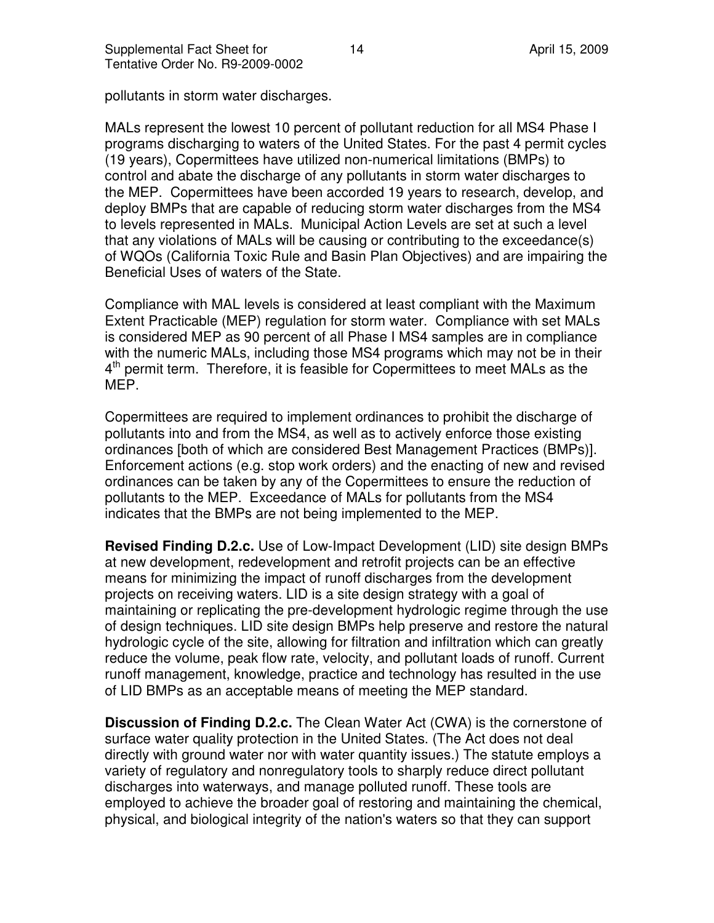pollutants in storm water discharges.

MALs represent the lowest 10 percent of pollutant reduction for all MS4 Phase I programs discharging to waters of the United States. For the past 4 permit cycles (19 years), Copermittees have utilized non-numerical limitations (BMPs) to control and abate the discharge of any pollutants in storm water discharges to the MEP. Copermittees have been accorded 19 years to research, develop, and deploy BMPs that are capable of reducing storm water discharges from the MS4 to levels represented in MALs. Municipal Action Levels are set at such a level that any violations of MALs will be causing or contributing to the exceedance(s) of WQOs (California Toxic Rule and Basin Plan Objectives) and are impairing the Beneficial Uses of waters of the State.

Compliance with MAL levels is considered at least compliant with the Maximum Extent Practicable (MEP) regulation for storm water. Compliance with set MALs is considered MEP as 90 percent of all Phase I MS4 samples are in compliance with the numeric MALs, including those MS4 programs which may not be in their 4<sup>th</sup> permit term. Therefore, it is feasible for Copermittees to meet MALs as the MEP.

Copermittees are required to implement ordinances to prohibit the discharge of pollutants into and from the MS4, as well as to actively enforce those existing ordinances [both of which are considered Best Management Practices (BMPs)]. Enforcement actions (e.g. stop work orders) and the enacting of new and revised ordinances can be taken by any of the Copermittees to ensure the reduction of pollutants to the MEP. Exceedance of MALs for pollutants from the MS4 indicates that the BMPs are not being implemented to the MEP.

**Revised Finding D.2.c.** Use of Low-Impact Development (LID) site design BMPs at new development, redevelopment and retrofit projects can be an effective means for minimizing the impact of runoff discharges from the development projects on receiving waters. LID is a site design strategy with a goal of maintaining or replicating the pre-development hydrologic regime through the use of design techniques. LID site design BMPs help preserve and restore the natural hydrologic cycle of the site, allowing for filtration and infiltration which can greatly reduce the volume, peak flow rate, velocity, and pollutant loads of runoff. Current runoff management, knowledge, practice and technology has resulted in the use of LID BMPs as an acceptable means of meeting the MEP standard.

**Discussion of Finding D.2.c.** The Clean Water Act (CWA) is the cornerstone of surface water quality protection in the United States. (The Act does not deal directly with ground water nor with water quantity issues.) The statute employs a variety of regulatory and nonregulatory tools to sharply reduce direct pollutant discharges into waterways, and manage polluted runoff. These tools are employed to achieve the broader goal of restoring and maintaining the chemical, physical, and biological integrity of the nation's waters so that they can support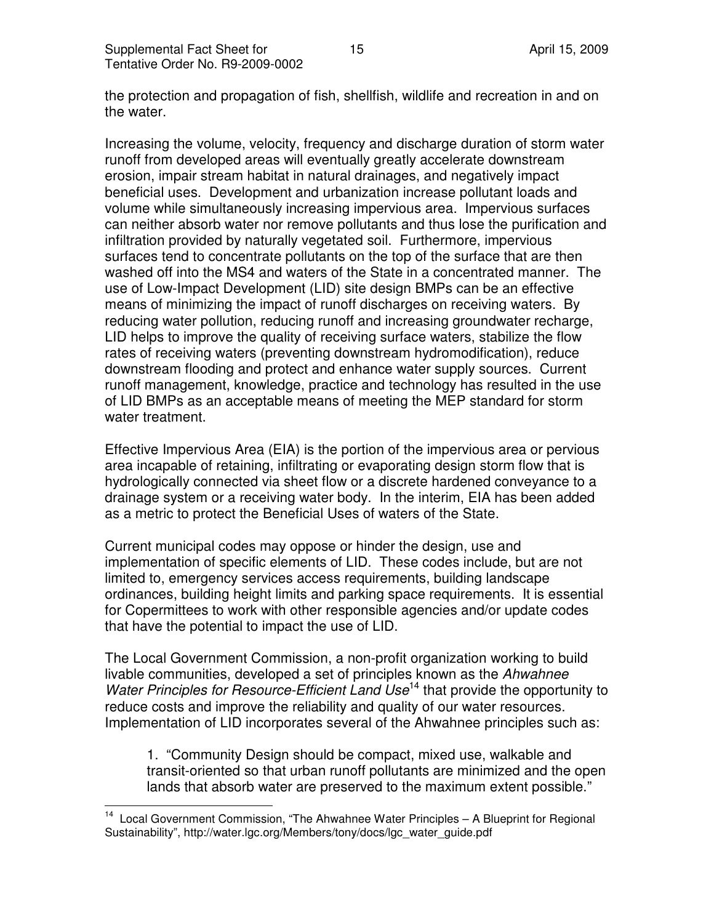$\overline{1}$ 

the protection and propagation of fish, shellfish, wildlife and recreation in and on the water.

Increasing the volume, velocity, frequency and discharge duration of storm water runoff from developed areas will eventually greatly accelerate downstream erosion, impair stream habitat in natural drainages, and negatively impact beneficial uses. Development and urbanization increase pollutant loads and volume while simultaneously increasing impervious area. Impervious surfaces can neither absorb water nor remove pollutants and thus lose the purification and infiltration provided by naturally vegetated soil. Furthermore, impervious surfaces tend to concentrate pollutants on the top of the surface that are then washed off into the MS4 and waters of the State in a concentrated manner. The use of Low-Impact Development (LID) site design BMPs can be an effective means of minimizing the impact of runoff discharges on receiving waters. By reducing water pollution, reducing runoff and increasing groundwater recharge, LID helps to improve the quality of receiving surface waters, stabilize the flow rates of receiving waters (preventing downstream hydromodification), reduce downstream flooding and protect and enhance water supply sources. Current runoff management, knowledge, practice and technology has resulted in the use of LID BMPs as an acceptable means of meeting the MEP standard for storm water treatment.

Effective Impervious Area (EIA) is the portion of the impervious area or pervious area incapable of retaining, infiltrating or evaporating design storm flow that is hydrologically connected via sheet flow or a discrete hardened conveyance to a drainage system or a receiving water body. In the interim, EIA has been added as a metric to protect the Beneficial Uses of waters of the State.

Current municipal codes may oppose or hinder the design, use and implementation of specific elements of LID. These codes include, but are not limited to, emergency services access requirements, building landscape ordinances, building height limits and parking space requirements. It is essential for Copermittees to work with other responsible agencies and/or update codes that have the potential to impact the use of LID.

The Local Government Commission, a non-profit organization working to build livable communities, developed a set of principles known as the Ahwahnee Water Principles for Resource-Efficient Land Use<sup>14</sup> that provide the opportunity to reduce costs and improve the reliability and quality of our water resources. Implementation of LID incorporates several of the Ahwahnee principles such as:

1. "Community Design should be compact, mixed use, walkable and transit-oriented so that urban runoff pollutants are minimized and the open lands that absorb water are preserved to the maximum extent possible."

<sup>&</sup>lt;sup>14</sup> Local Government Commission, "The Ahwahnee Water Principles - A Blueprint for Regional Sustainability", http://water.lgc.org/Members/tony/docs/lgc\_water\_guide.pdf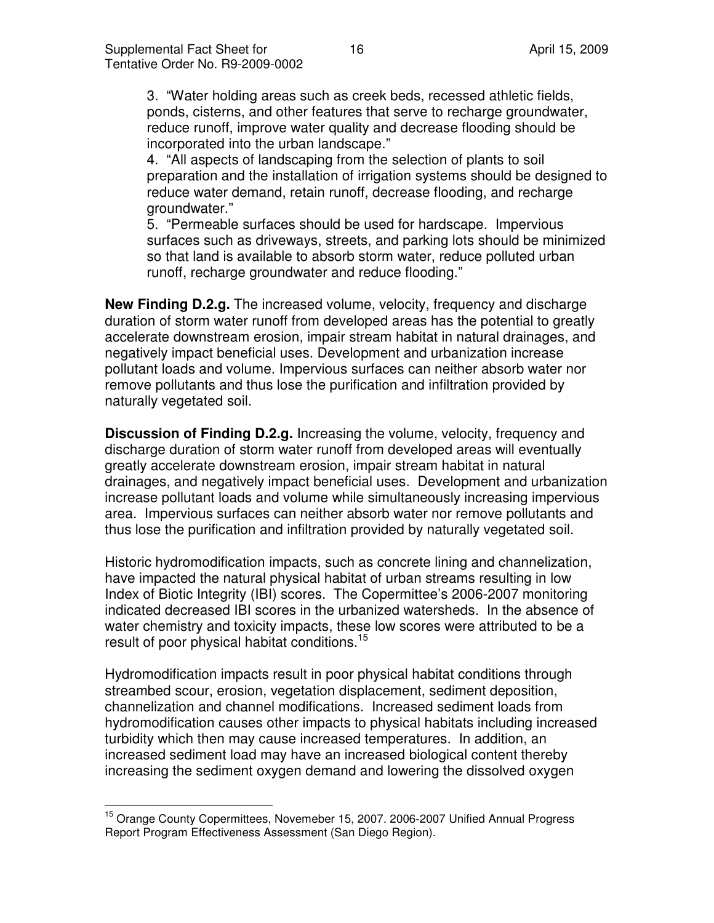3. "Water holding areas such as creek beds, recessed athletic fields, ponds, cisterns, and other features that serve to recharge groundwater, reduce runoff, improve water quality and decrease flooding should be incorporated into the urban landscape."

4. "All aspects of landscaping from the selection of plants to soil preparation and the installation of irrigation systems should be designed to reduce water demand, retain runoff, decrease flooding, and recharge groundwater."

5. "Permeable surfaces should be used for hardscape. Impervious surfaces such as driveways, streets, and parking lots should be minimized so that land is available to absorb storm water, reduce polluted urban runoff, recharge groundwater and reduce flooding."

**New Finding D.2.g.** The increased volume, velocity, frequency and discharge duration of storm water runoff from developed areas has the potential to greatly accelerate downstream erosion, impair stream habitat in natural drainages, and negatively impact beneficial uses. Development and urbanization increase pollutant loads and volume. Impervious surfaces can neither absorb water nor remove pollutants and thus lose the purification and infiltration provided by naturally vegetated soil.

**Discussion of Finding D.2.g.** Increasing the volume, velocity, frequency and discharge duration of storm water runoff from developed areas will eventually greatly accelerate downstream erosion, impair stream habitat in natural drainages, and negatively impact beneficial uses. Development and urbanization increase pollutant loads and volume while simultaneously increasing impervious area. Impervious surfaces can neither absorb water nor remove pollutants and thus lose the purification and infiltration provided by naturally vegetated soil.

Historic hydromodification impacts, such as concrete lining and channelization, have impacted the natural physical habitat of urban streams resulting in low Index of Biotic Integrity (IBI) scores. The Copermittee's 2006-2007 monitoring indicated decreased IBI scores in the urbanized watersheds. In the absence of water chemistry and toxicity impacts, these low scores were attributed to be a result of poor physical habitat conditions.<sup>15</sup>

Hydromodification impacts result in poor physical habitat conditions through streambed scour, erosion, vegetation displacement, sediment deposition, channelization and channel modifications. Increased sediment loads from hydromodification causes other impacts to physical habitats including increased turbidity which then may cause increased temperatures. In addition, an increased sediment load may have an increased biological content thereby increasing the sediment oxygen demand and lowering the dissolved oxygen

 $\overline{a}$ <sup>15</sup> Orange County Copermittees, Novemeber 15, 2007. 2006-2007 Unified Annual Progress Report Program Effectiveness Assessment (San Diego Region).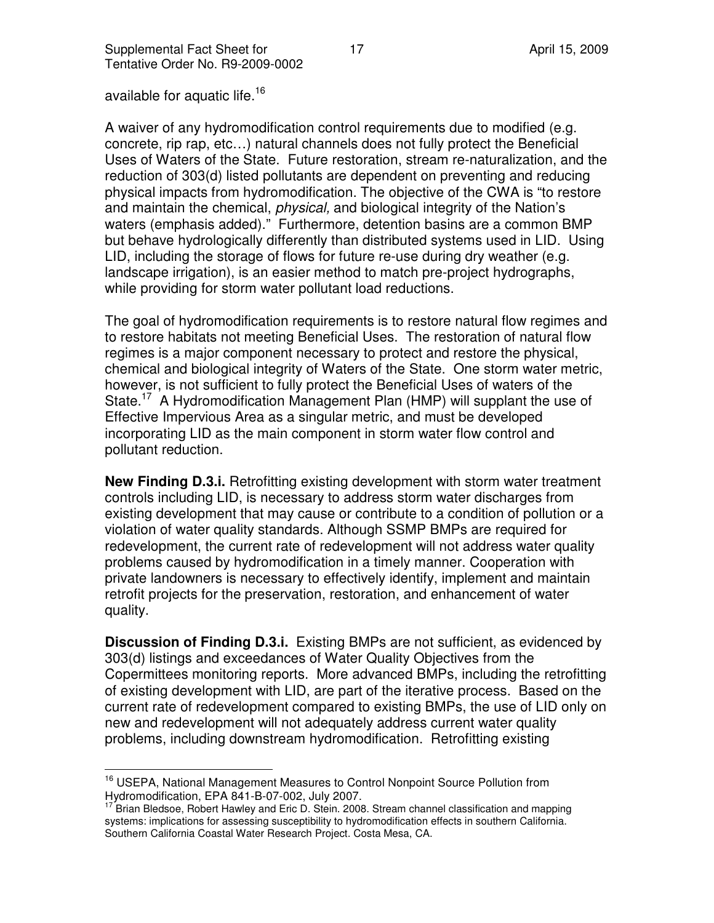available for aquatic life.<sup>16</sup>

A waiver of any hydromodification control requirements due to modified (e.g. concrete, rip rap, etc…) natural channels does not fully protect the Beneficial Uses of Waters of the State. Future restoration, stream re-naturalization, and the reduction of 303(d) listed pollutants are dependent on preventing and reducing physical impacts from hydromodification. The objective of the CWA is "to restore and maintain the chemical, *physical*, and biological integrity of the Nation's waters (emphasis added)." Furthermore, detention basins are a common BMP but behave hydrologically differently than distributed systems used in LID. Using LID, including the storage of flows for future re-use during dry weather (e.g. landscape irrigation), is an easier method to match pre-project hydrographs, while providing for storm water pollutant load reductions.

The goal of hydromodification requirements is to restore natural flow regimes and to restore habitats not meeting Beneficial Uses. The restoration of natural flow regimes is a major component necessary to protect and restore the physical, chemical and biological integrity of Waters of the State. One storm water metric, however, is not sufficient to fully protect the Beneficial Uses of waters of the State.<sup>17</sup> A Hydromodification Management Plan (HMP) will supplant the use of Effective Impervious Area as a singular metric, and must be developed incorporating LID as the main component in storm water flow control and pollutant reduction.

**New Finding D.3.i.** Retrofitting existing development with storm water treatment controls including LID, is necessary to address storm water discharges from existing development that may cause or contribute to a condition of pollution or a violation of water quality standards. Although SSMP BMPs are required for redevelopment, the current rate of redevelopment will not address water quality problems caused by hydromodification in a timely manner. Cooperation with private landowners is necessary to effectively identify, implement and maintain retrofit projects for the preservation, restoration, and enhancement of water quality.

**Discussion of Finding D.3.i.** Existing BMPs are not sufficient, as evidenced by 303(d) listings and exceedances of Water Quality Objectives from the Copermittees monitoring reports. More advanced BMPs, including the retrofitting of existing development with LID, are part of the iterative process. Based on the current rate of redevelopment compared to existing BMPs, the use of LID only on new and redevelopment will not adequately address current water quality problems, including downstream hydromodification. Retrofitting existing

 $\overline{a}$ <sup>16</sup> USEPA, National Management Measures to Control Nonpoint Source Pollution from Hydromodification, EPA 841-B-07-002, July 2007.

<sup>17</sup> Brian Bledsoe, Robert Hawley and Eric D. Stein. 2008. Stream channel classification and mapping systems: implications for assessing susceptibility to hydromodification effects in southern California. Southern California Coastal Water Research Project. Costa Mesa, CA.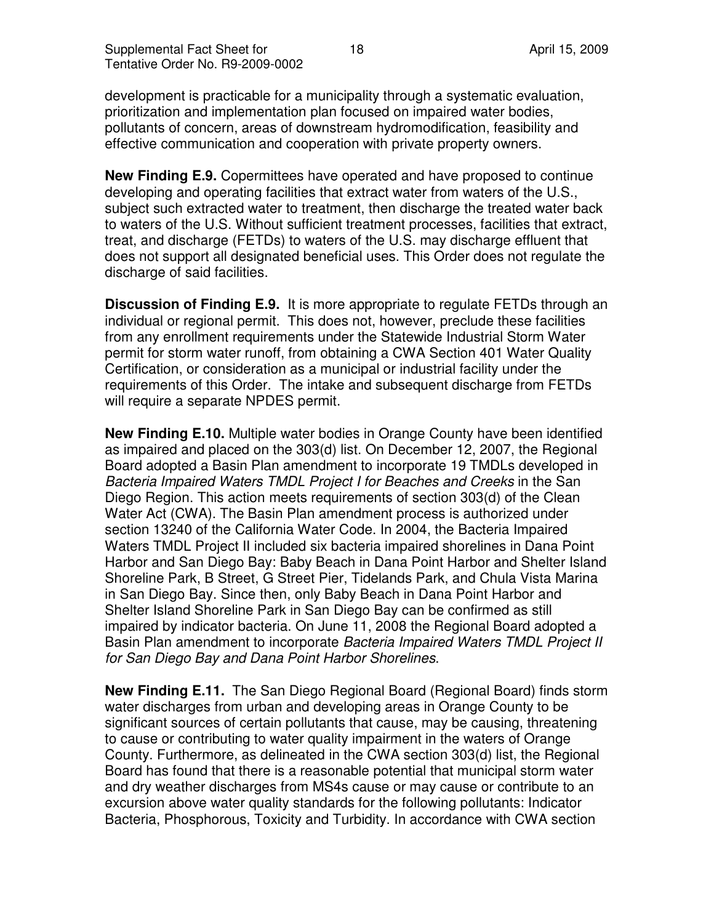development is practicable for a municipality through a systematic evaluation, prioritization and implementation plan focused on impaired water bodies, pollutants of concern, areas of downstream hydromodification, feasibility and effective communication and cooperation with private property owners.

**New Finding E.9.** Copermittees have operated and have proposed to continue developing and operating facilities that extract water from waters of the U.S., subject such extracted water to treatment, then discharge the treated water back to waters of the U.S. Without sufficient treatment processes, facilities that extract, treat, and discharge (FETDs) to waters of the U.S. may discharge effluent that does not support all designated beneficial uses. This Order does not regulate the discharge of said facilities.

**Discussion of Finding E.9.** It is more appropriate to regulate FETDs through an individual or regional permit. This does not, however, preclude these facilities from any enrollment requirements under the Statewide Industrial Storm Water permit for storm water runoff, from obtaining a CWA Section 401 Water Quality Certification, or consideration as a municipal or industrial facility under the requirements of this Order. The intake and subsequent discharge from FETDs will require a separate NPDES permit.

**New Finding E.10.** Multiple water bodies in Orange County have been identified as impaired and placed on the 303(d) list. On December 12, 2007, the Regional Board adopted a Basin Plan amendment to incorporate 19 TMDLs developed in Bacteria Impaired Waters TMDL Project I for Beaches and Creeks in the San Diego Region. This action meets requirements of section 303(d) of the Clean Water Act (CWA). The Basin Plan amendment process is authorized under section 13240 of the California Water Code. In 2004, the Bacteria Impaired Waters TMDL Project II included six bacteria impaired shorelines in Dana Point Harbor and San Diego Bay: Baby Beach in Dana Point Harbor and Shelter Island Shoreline Park, B Street, G Street Pier, Tidelands Park, and Chula Vista Marina in San Diego Bay. Since then, only Baby Beach in Dana Point Harbor and Shelter Island Shoreline Park in San Diego Bay can be confirmed as still impaired by indicator bacteria. On June 11, 2008 the Regional Board adopted a Basin Plan amendment to incorporate Bacteria Impaired Waters TMDL Project II for San Diego Bay and Dana Point Harbor Shorelines.

**New Finding E.11.** The San Diego Regional Board (Regional Board) finds storm water discharges from urban and developing areas in Orange County to be significant sources of certain pollutants that cause, may be causing, threatening to cause or contributing to water quality impairment in the waters of Orange County. Furthermore, as delineated in the CWA section 303(d) list, the Regional Board has found that there is a reasonable potential that municipal storm water and dry weather discharges from MS4s cause or may cause or contribute to an excursion above water quality standards for the following pollutants: Indicator Bacteria, Phosphorous, Toxicity and Turbidity. In accordance with CWA section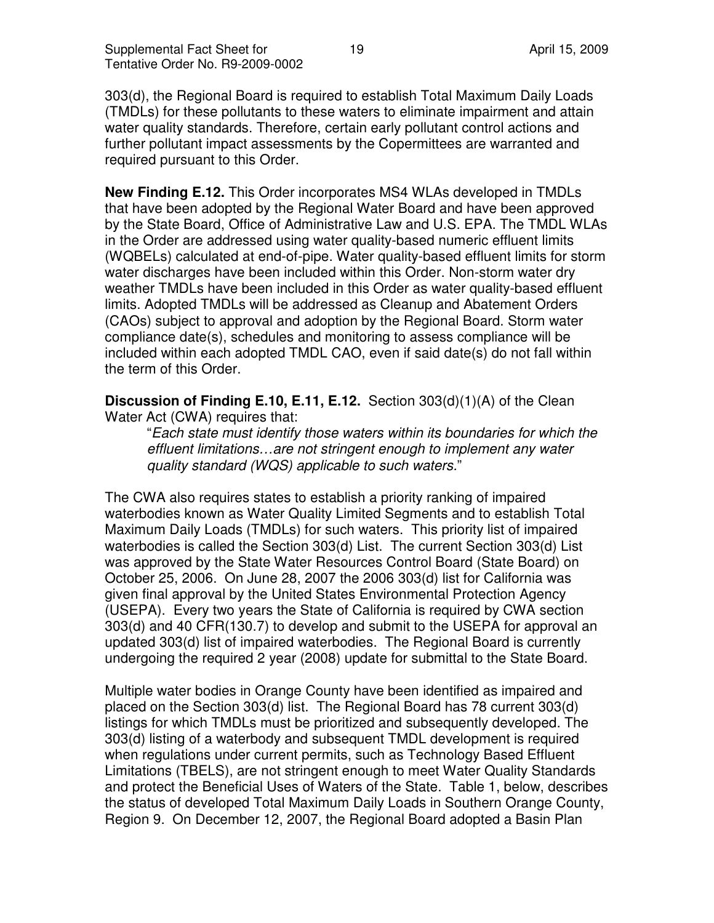303(d), the Regional Board is required to establish Total Maximum Daily Loads (TMDLs) for these pollutants to these waters to eliminate impairment and attain water quality standards. Therefore, certain early pollutant control actions and further pollutant impact assessments by the Copermittees are warranted and required pursuant to this Order.

**New Finding E.12.** This Order incorporates MS4 WLAs developed in TMDLs that have been adopted by the Regional Water Board and have been approved by the State Board, Office of Administrative Law and U.S. EPA. The TMDL WLAs in the Order are addressed using water quality-based numeric effluent limits (WQBELs) calculated at end-of-pipe. Water quality-based effluent limits for storm water discharges have been included within this Order. Non-storm water dry weather TMDLs have been included in this Order as water quality-based effluent limits. Adopted TMDLs will be addressed as Cleanup and Abatement Orders (CAOs) subject to approval and adoption by the Regional Board. Storm water compliance date(s), schedules and monitoring to assess compliance will be included within each adopted TMDL CAO, even if said date(s) do not fall within the term of this Order.

**Discussion of Finding E.10, E.11, E.12.** Section 303(d)(1)(A) of the Clean Water Act (CWA) requires that:

"Each state must identify those waters within its boundaries for which the effluent limitations…are not stringent enough to implement any water quality standard (WQS) applicable to such waters."

The CWA also requires states to establish a priority ranking of impaired waterbodies known as Water Quality Limited Segments and to establish Total Maximum Daily Loads (TMDLs) for such waters. This priority list of impaired waterbodies is called the Section 303(d) List. The current Section 303(d) List was approved by the State Water Resources Control Board (State Board) on October 25, 2006. On June 28, 2007 the 2006 303(d) list for California was given final approval by the United States Environmental Protection Agency (USEPA). Every two years the State of California is required by CWA section 303(d) and 40 CFR(130.7) to develop and submit to the USEPA for approval an updated 303(d) list of impaired waterbodies. The Regional Board is currently undergoing the required 2 year (2008) update for submittal to the State Board.

Multiple water bodies in Orange County have been identified as impaired and placed on the Section 303(d) list. The Regional Board has 78 current 303(d) listings for which TMDLs must be prioritized and subsequently developed. The 303(d) listing of a waterbody and subsequent TMDL development is required when regulations under current permits, such as Technology Based Effluent Limitations (TBELS), are not stringent enough to meet Water Quality Standards and protect the Beneficial Uses of Waters of the State. Table 1, below, describes the status of developed Total Maximum Daily Loads in Southern Orange County, Region 9. On December 12, 2007, the Regional Board adopted a Basin Plan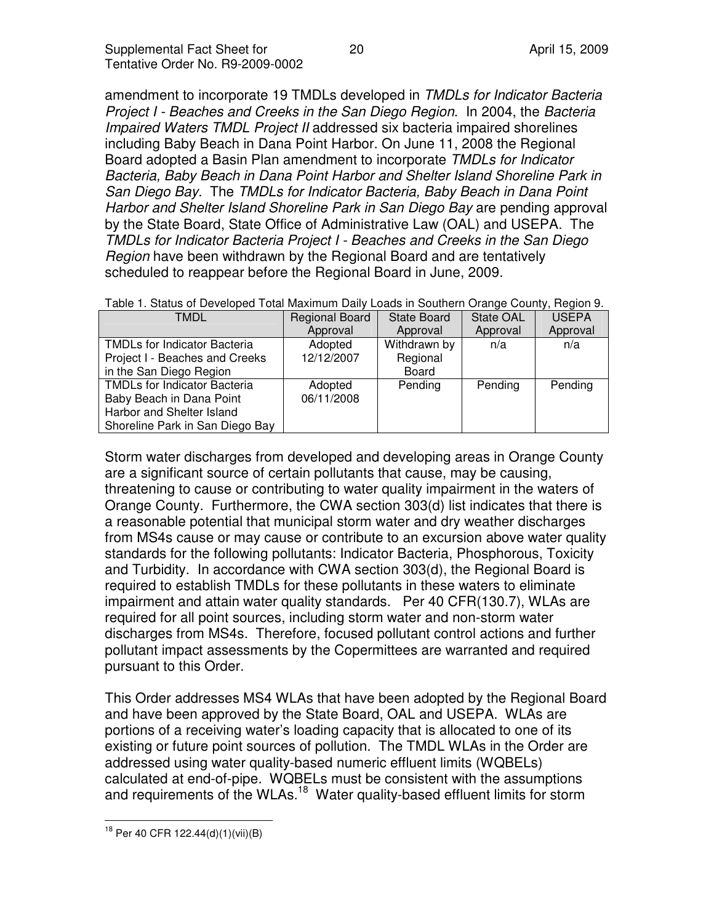amendment to incorporate 19 TMDLs developed in TMDLs for Indicator Bacteria Project I - Beaches and Creeks in the San Diego Region. In 2004, the Bacteria Impaired Waters TMDL Project II addressed six bacteria impaired shorelines including Baby Beach in Dana Point Harbor. On June 11, 2008 the Regional Board adopted a Basin Plan amendment to incorporate TMDLs for Indicator Bacteria, Baby Beach in Dana Point Harbor and Shelter Island Shoreline Park in San Diego Bay. The TMDLs for Indicator Bacteria, Baby Beach in Dana Point Harbor and Shelter Island Shoreline Park in San Diego Bay are pending approval by the State Board, State Office of Administrative Law (OAL) and USEPA. The TMDLs for Indicator Bacteria Project I - Beaches and Creeks in the San Diego Region have been withdrawn by the Regional Board and are tentatively scheduled to reappear before the Regional Board in June, 2009.

| TMDL                                | <b>Regional Board</b> | <b>State Board</b> | State OAL | <b>USEPA</b> |
|-------------------------------------|-----------------------|--------------------|-----------|--------------|
|                                     | Approval              | Approval           | Approval  | Approval     |
| <b>TMDLs for Indicator Bacteria</b> | Adopted               | Withdrawn by       | n/a       | n/a          |
| Project I - Beaches and Creeks      | 12/12/2007            | Regional           |           |              |
| in the San Diego Region             |                       | Board              |           |              |
| <b>TMDLs for Indicator Bacteria</b> | Adopted               | Pending            | Pending   | Pending      |
| Baby Beach in Dana Point            | 06/11/2008            |                    |           |              |
| Harbor and Shelter Island           |                       |                    |           |              |
| Shoreline Park in San Diego Bay     |                       |                    |           |              |

Table 1. Status of Developed Total Maximum Daily Loads in Southern Orange County, Region 9.

Storm water discharges from developed and developing areas in Orange County are a significant source of certain pollutants that cause, may be causing, threatening to cause or contributing to water quality impairment in the waters of Orange County. Furthermore, the CWA section 303(d) list indicates that there is a reasonable potential that municipal storm water and dry weather discharges from MS4s cause or may cause or contribute to an excursion above water quality standards for the following pollutants: Indicator Bacteria, Phosphorous, Toxicity and Turbidity. In accordance with CWA section 303(d), the Regional Board is required to establish TMDLs for these pollutants in these waters to eliminate impairment and attain water quality standards. Per 40 CFR(130.7), WLAs are required for all point sources, including storm water and non-storm water discharges from MS4s. Therefore, focused pollutant control actions and further pollutant impact assessments by the Copermittees are warranted and required pursuant to this Order.

This Order addresses MS4 WLAs that have been adopted by the Regional Board and have been approved by the State Board, OAL and USEPA. WLAs are portions of a receiving water's loading capacity that is allocated to one of its existing or future point sources of pollution. The TMDL WLAs in the Order are addressed using water quality-based numeric effluent limits (WQBELs) calculated at end-of-pipe. WQBELs must be consistent with the assumptions and requirements of the WLAs.<sup>18</sup> Water quality-based effluent limits for storm

 $\overline{a}$ <sup>18</sup> Per 40 CFR 122.44(d)(1)(vii)(B)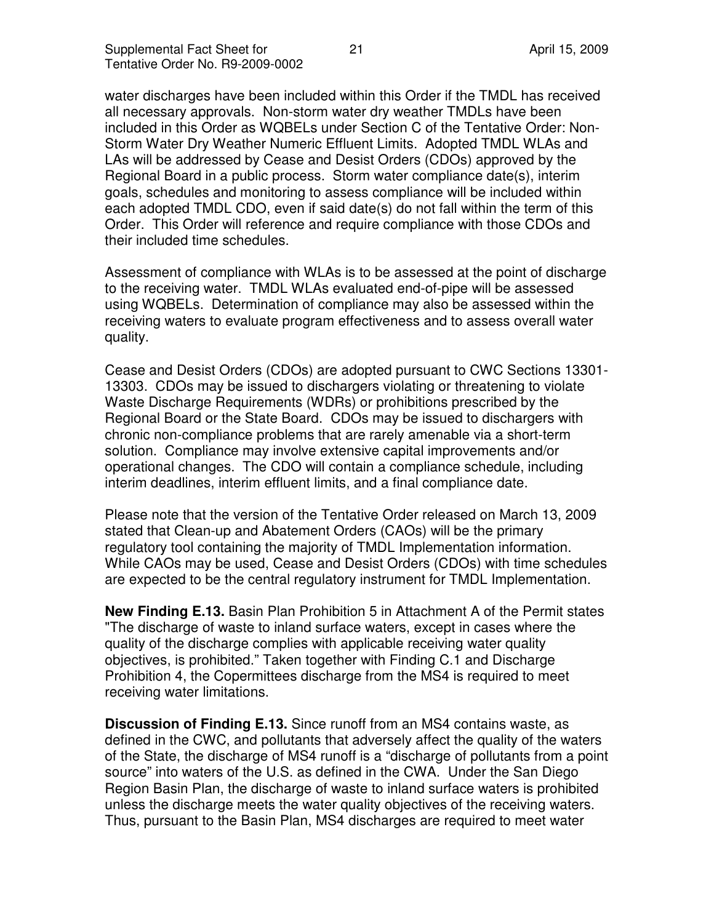water discharges have been included within this Order if the TMDL has received all necessary approvals. Non-storm water dry weather TMDLs have been included in this Order as WQBELs under Section C of the Tentative Order: Non-Storm Water Dry Weather Numeric Effluent Limits. Adopted TMDL WLAs and LAs will be addressed by Cease and Desist Orders (CDOs) approved by the Regional Board in a public process. Storm water compliance date(s), interim goals, schedules and monitoring to assess compliance will be included within each adopted TMDL CDO, even if said date(s) do not fall within the term of this Order. This Order will reference and require compliance with those CDOs and their included time schedules.

Assessment of compliance with WLAs is to be assessed at the point of discharge to the receiving water. TMDL WLAs evaluated end-of-pipe will be assessed using WQBELs. Determination of compliance may also be assessed within the receiving waters to evaluate program effectiveness and to assess overall water quality.

Cease and Desist Orders (CDOs) are adopted pursuant to CWC Sections 13301- 13303. CDOs may be issued to dischargers violating or threatening to violate Waste Discharge Requirements (WDRs) or prohibitions prescribed by the Regional Board or the State Board. CDOs may be issued to dischargers with chronic non-compliance problems that are rarely amenable via a short-term solution. Compliance may involve extensive capital improvements and/or operational changes. The CDO will contain a compliance schedule, including interim deadlines, interim effluent limits, and a final compliance date.

Please note that the version of the Tentative Order released on March 13, 2009 stated that Clean-up and Abatement Orders (CAOs) will be the primary regulatory tool containing the majority of TMDL Implementation information. While CAOs may be used, Cease and Desist Orders (CDOs) with time schedules are expected to be the central regulatory instrument for TMDL Implementation.

**New Finding E.13.** Basin Plan Prohibition 5 in Attachment A of the Permit states "The discharge of waste to inland surface waters, except in cases where the quality of the discharge complies with applicable receiving water quality objectives, is prohibited." Taken together with Finding C.1 and Discharge Prohibition 4, the Copermittees discharge from the MS4 is required to meet receiving water limitations.

**Discussion of Finding E.13.** Since runoff from an MS4 contains waste, as defined in the CWC, and pollutants that adversely affect the quality of the waters of the State, the discharge of MS4 runoff is a "discharge of pollutants from a point source" into waters of the U.S. as defined in the CWA. Under the San Diego Region Basin Plan, the discharge of waste to inland surface waters is prohibited unless the discharge meets the water quality objectives of the receiving waters. Thus, pursuant to the Basin Plan, MS4 discharges are required to meet water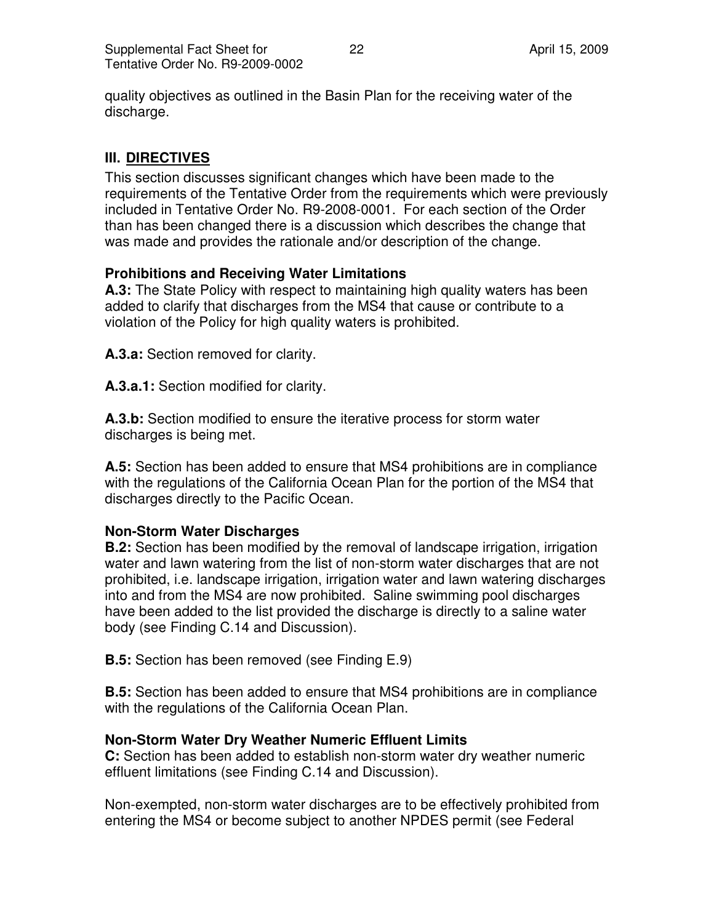quality objectives as outlined in the Basin Plan for the receiving water of the discharge.

# **III. DIRECTIVES**

This section discusses significant changes which have been made to the requirements of the Tentative Order from the requirements which were previously included in Tentative Order No. R9-2008-0001. For each section of the Order than has been changed there is a discussion which describes the change that was made and provides the rationale and/or description of the change.

## **Prohibitions and Receiving Water Limitations**

**A.3:** The State Policy with respect to maintaining high quality waters has been added to clarify that discharges from the MS4 that cause or contribute to a violation of the Policy for high quality waters is prohibited.

**A.3.a:** Section removed for clarity.

**A.3.a.1:** Section modified for clarity.

**A.3.b:** Section modified to ensure the iterative process for storm water discharges is being met.

**A.5:** Section has been added to ensure that MS4 prohibitions are in compliance with the regulations of the California Ocean Plan for the portion of the MS4 that discharges directly to the Pacific Ocean.

## **Non-Storm Water Discharges**

**B.2:** Section has been modified by the removal of landscape irrigation, irrigation water and lawn watering from the list of non-storm water discharges that are not prohibited, i.e. landscape irrigation, irrigation water and lawn watering discharges into and from the MS4 are now prohibited. Saline swimming pool discharges have been added to the list provided the discharge is directly to a saline water body (see Finding C.14 and Discussion).

**B.5:** Section has been removed (see Finding E.9)

**B.5:** Section has been added to ensure that MS4 prohibitions are in compliance with the regulations of the California Ocean Plan.

## **Non-Storm Water Dry Weather Numeric Effluent Limits**

**C:** Section has been added to establish non-storm water dry weather numeric effluent limitations (see Finding C.14 and Discussion).

Non-exempted, non-storm water discharges are to be effectively prohibited from entering the MS4 or become subject to another NPDES permit (see Federal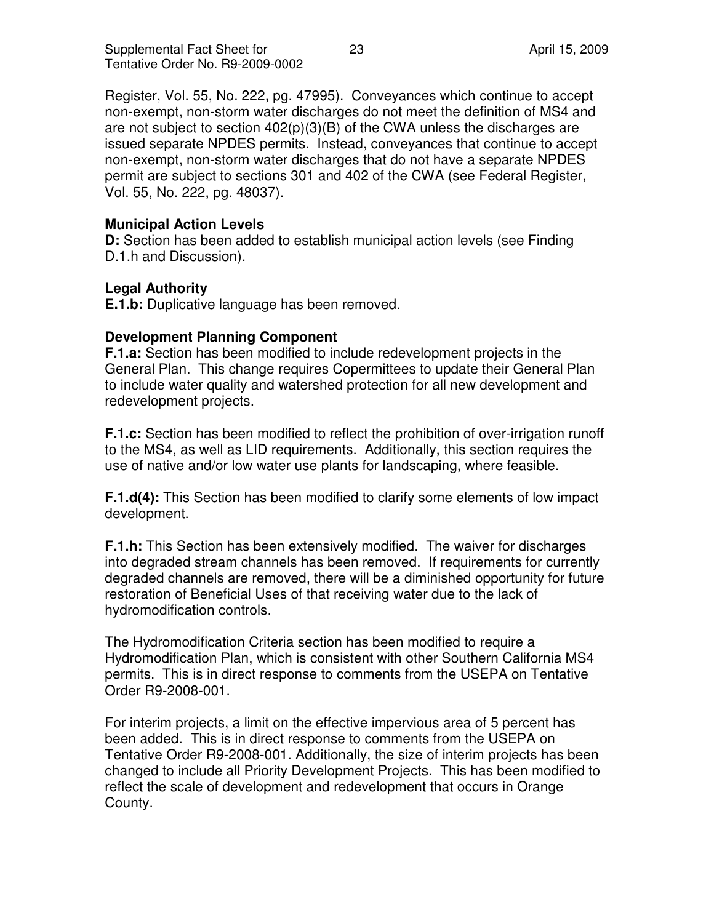Register, Vol. 55, No. 222, pg. 47995). Conveyances which continue to accept non-exempt, non-storm water discharges do not meet the definition of MS4 and are not subject to section  $402(p)(3)(B)$  of the CWA unless the discharges are issued separate NPDES permits. Instead, conveyances that continue to accept non-exempt, non-storm water discharges that do not have a separate NPDES permit are subject to sections 301 and 402 of the CWA (see Federal Register, Vol. 55, No. 222, pg. 48037).

## **Municipal Action Levels**

**D:** Section has been added to establish municipal action levels (see Finding D.1.h and Discussion).

#### **Legal Authority**

**E.1.b:** Duplicative language has been removed.

#### **Development Planning Component**

**F.1.a:** Section has been modified to include redevelopment projects in the General Plan. This change requires Copermittees to update their General Plan to include water quality and watershed protection for all new development and redevelopment projects.

**F.1.c:** Section has been modified to reflect the prohibition of over-irrigation runoff to the MS4, as well as LID requirements. Additionally, this section requires the use of native and/or low water use plants for landscaping, where feasible.

**F.1.d(4):** This Section has been modified to clarify some elements of low impact development.

**F.1.h:** This Section has been extensively modified. The waiver for discharges into degraded stream channels has been removed. If requirements for currently degraded channels are removed, there will be a diminished opportunity for future restoration of Beneficial Uses of that receiving water due to the lack of hydromodification controls.

The Hydromodification Criteria section has been modified to require a Hydromodification Plan, which is consistent with other Southern California MS4 permits. This is in direct response to comments from the USEPA on Tentative Order R9-2008-001.

For interim projects, a limit on the effective impervious area of 5 percent has been added. This is in direct response to comments from the USEPA on Tentative Order R9-2008-001. Additionally, the size of interim projects has been changed to include all Priority Development Projects. This has been modified to reflect the scale of development and redevelopment that occurs in Orange County.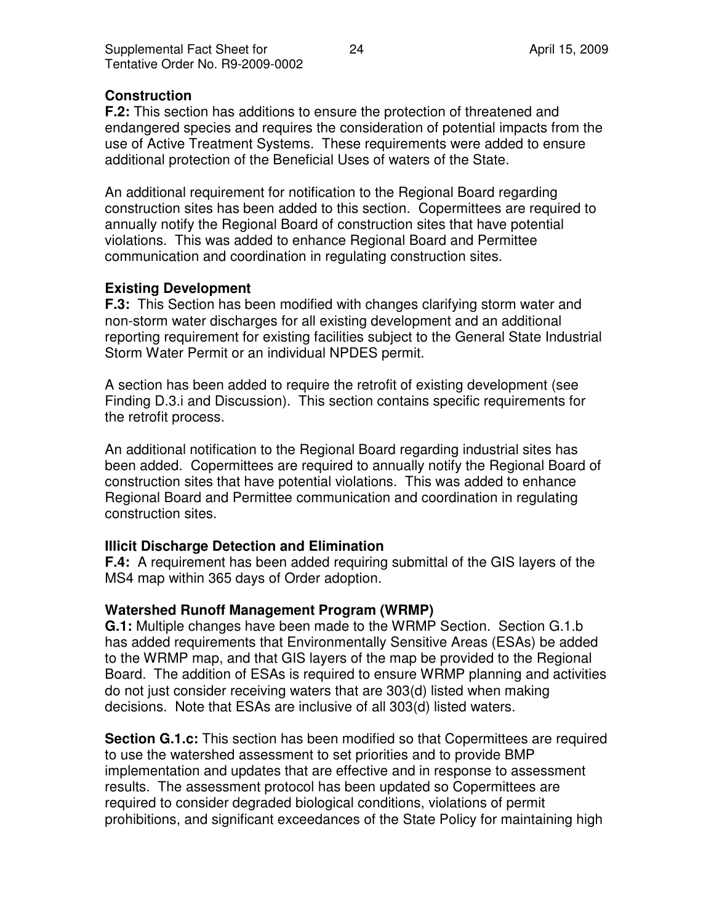## **Construction**

**F.2:** This section has additions to ensure the protection of threatened and endangered species and requires the consideration of potential impacts from the use of Active Treatment Systems. These requirements were added to ensure additional protection of the Beneficial Uses of waters of the State.

An additional requirement for notification to the Regional Board regarding construction sites has been added to this section. Copermittees are required to annually notify the Regional Board of construction sites that have potential violations. This was added to enhance Regional Board and Permittee communication and coordination in regulating construction sites.

## **Existing Development**

**F.3:** This Section has been modified with changes clarifying storm water and non-storm water discharges for all existing development and an additional reporting requirement for existing facilities subject to the General State Industrial Storm Water Permit or an individual NPDES permit.

A section has been added to require the retrofit of existing development (see Finding D.3.i and Discussion). This section contains specific requirements for the retrofit process.

An additional notification to the Regional Board regarding industrial sites has been added. Copermittees are required to annually notify the Regional Board of construction sites that have potential violations. This was added to enhance Regional Board and Permittee communication and coordination in regulating construction sites.

## **Illicit Discharge Detection and Elimination**

**F.4:** A requirement has been added requiring submittal of the GIS layers of the MS4 map within 365 days of Order adoption.

## **Watershed Runoff Management Program (WRMP)**

**G.1:** Multiple changes have been made to the WRMP Section. Section G.1.b has added requirements that Environmentally Sensitive Areas (ESAs) be added to the WRMP map, and that GIS layers of the map be provided to the Regional Board. The addition of ESAs is required to ensure WRMP planning and activities do not just consider receiving waters that are 303(d) listed when making decisions. Note that ESAs are inclusive of all 303(d) listed waters.

**Section G.1.c:** This section has been modified so that Copermittees are required to use the watershed assessment to set priorities and to provide BMP implementation and updates that are effective and in response to assessment results. The assessment protocol has been updated so Copermittees are required to consider degraded biological conditions, violations of permit prohibitions, and significant exceedances of the State Policy for maintaining high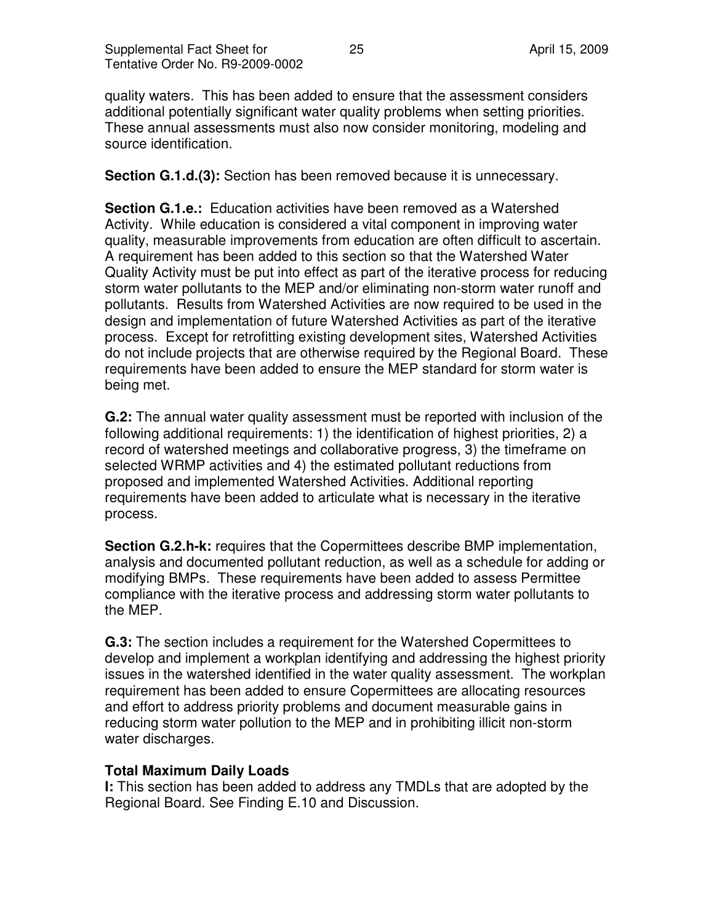quality waters. This has been added to ensure that the assessment considers additional potentially significant water quality problems when setting priorities. These annual assessments must also now consider monitoring, modeling and source identification.

**Section G.1.d.(3):** Section has been removed because it is unnecessary.

**Section G.1.e.:** Education activities have been removed as a Watershed Activity. While education is considered a vital component in improving water quality, measurable improvements from education are often difficult to ascertain. A requirement has been added to this section so that the Watershed Water Quality Activity must be put into effect as part of the iterative process for reducing storm water pollutants to the MEP and/or eliminating non-storm water runoff and pollutants. Results from Watershed Activities are now required to be used in the design and implementation of future Watershed Activities as part of the iterative process. Except for retrofitting existing development sites, Watershed Activities do not include projects that are otherwise required by the Regional Board. These requirements have been added to ensure the MEP standard for storm water is being met.

**G.2:** The annual water quality assessment must be reported with inclusion of the following additional requirements: 1) the identification of highest priorities, 2) a record of watershed meetings and collaborative progress, 3) the timeframe on selected WRMP activities and 4) the estimated pollutant reductions from proposed and implemented Watershed Activities. Additional reporting requirements have been added to articulate what is necessary in the iterative process.

**Section G.2.h-k:** requires that the Copermittees describe BMP implementation, analysis and documented pollutant reduction, as well as a schedule for adding or modifying BMPs. These requirements have been added to assess Permittee compliance with the iterative process and addressing storm water pollutants to the MEP.

**G.3:** The section includes a requirement for the Watershed Copermittees to develop and implement a workplan identifying and addressing the highest priority issues in the watershed identified in the water quality assessment. The workplan requirement has been added to ensure Copermittees are allocating resources and effort to address priority problems and document measurable gains in reducing storm water pollution to the MEP and in prohibiting illicit non-storm water discharges.

## **Total Maximum Daily Loads**

**I:** This section has been added to address any TMDLs that are adopted by the Regional Board. See Finding E.10 and Discussion.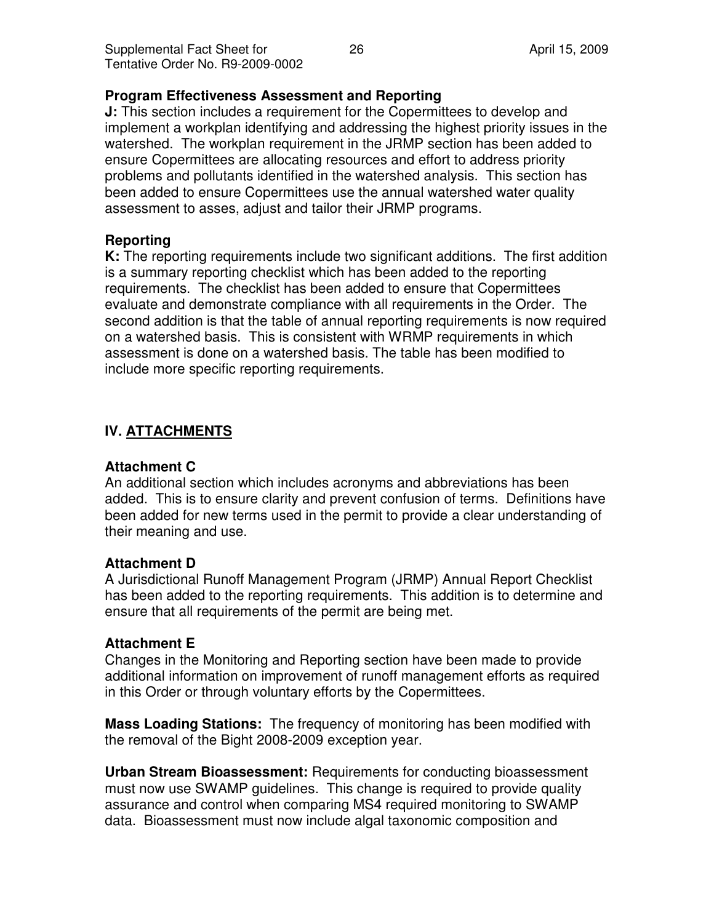## **Program Effectiveness Assessment and Reporting**

**J:** This section includes a requirement for the Copermittees to develop and implement a workplan identifying and addressing the highest priority issues in the watershed. The workplan requirement in the JRMP section has been added to ensure Copermittees are allocating resources and effort to address priority problems and pollutants identified in the watershed analysis. This section has been added to ensure Copermittees use the annual watershed water quality assessment to asses, adjust and tailor their JRMP programs.

## **Reporting**

**K:** The reporting requirements include two significant additions. The first addition is a summary reporting checklist which has been added to the reporting requirements. The checklist has been added to ensure that Copermittees evaluate and demonstrate compliance with all requirements in the Order. The second addition is that the table of annual reporting requirements is now required on a watershed basis. This is consistent with WRMP requirements in which assessment is done on a watershed basis. The table has been modified to include more specific reporting requirements.

# **IV. ATTACHMENTS**

## **Attachment C**

An additional section which includes acronyms and abbreviations has been added. This is to ensure clarity and prevent confusion of terms. Definitions have been added for new terms used in the permit to provide a clear understanding of their meaning and use.

## **Attachment D**

A Jurisdictional Runoff Management Program (JRMP) Annual Report Checklist has been added to the reporting requirements. This addition is to determine and ensure that all requirements of the permit are being met.

# **Attachment E**

Changes in the Monitoring and Reporting section have been made to provide additional information on improvement of runoff management efforts as required in this Order or through voluntary efforts by the Copermittees.

**Mass Loading Stations:** The frequency of monitoring has been modified with the removal of the Bight 2008-2009 exception year.

**Urban Stream Bioassessment:** Requirements for conducting bioassessment must now use SWAMP guidelines. This change is required to provide quality assurance and control when comparing MS4 required monitoring to SWAMP data. Bioassessment must now include algal taxonomic composition and